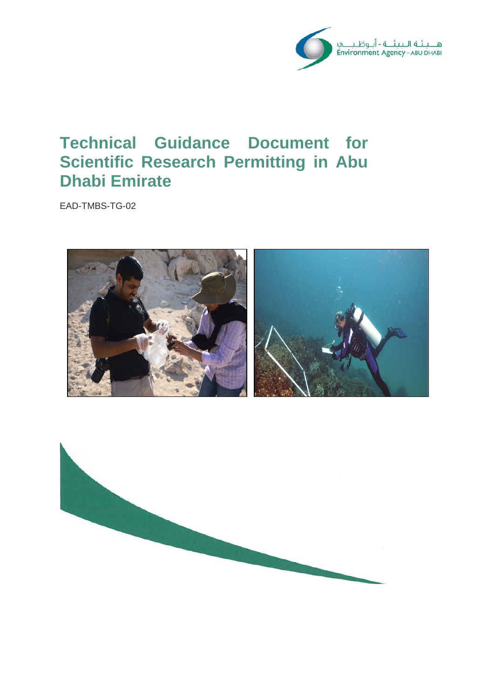

# **Technical Guidance Document for Scientific Research Permitting in Abu Dhabi Emirate**

EAD-TMBS-TG-02



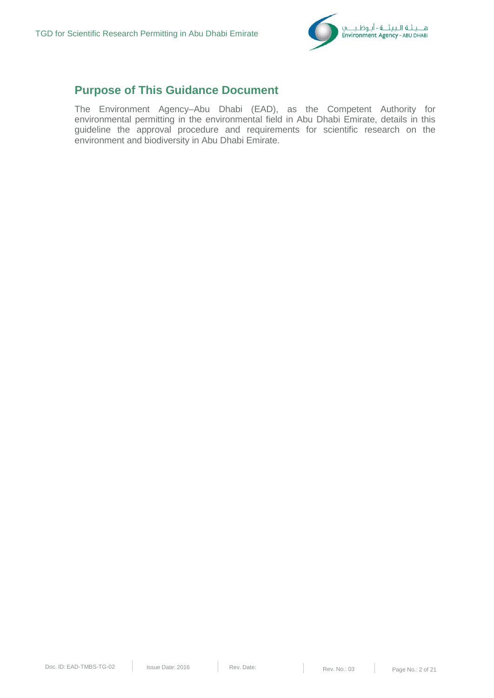

## **Purpose of This Guidance Document**

The Environment Agency–Abu Dhabi (EAD), as the Competent Authority for environmental permitting in the environmental field in Abu Dhabi Emirate, details in this guideline the approval procedure and requirements for scientific research on the environment and biodiversity in Abu Dhabi Emirate.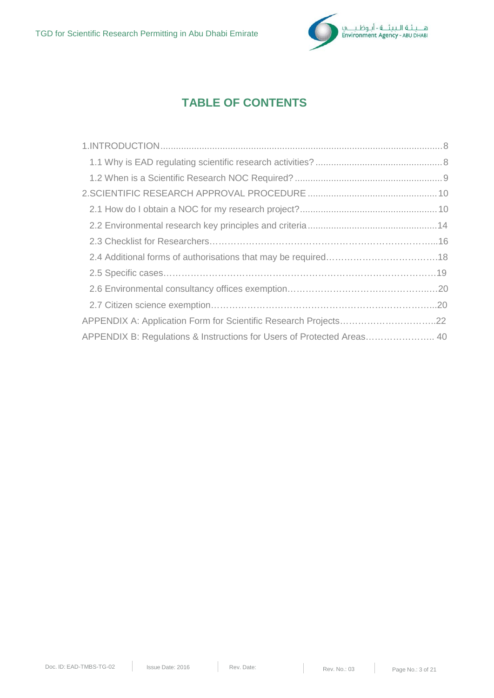

## **TABLE OF CONTENTS**

| APPENDIX A: Application Form for Scientific Research Projects22        |  |
|------------------------------------------------------------------------|--|
| APPENDIX B: Regulations & Instructions for Users of Protected Areas 40 |  |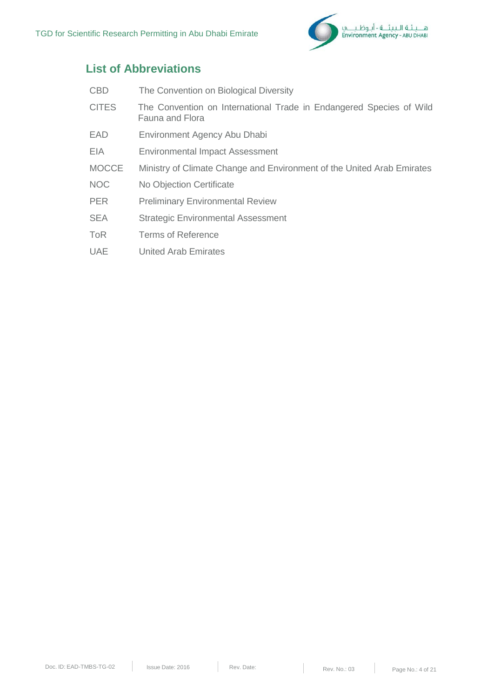

## **List of Abbreviations**

| <b>CBD</b>   | The Convention on Biological Diversity                                                 |
|--------------|----------------------------------------------------------------------------------------|
| <b>CITES</b> | The Convention on International Trade in Endangered Species of Wild<br>Fauna and Flora |
| EAD          | Environment Agency Abu Dhabi                                                           |
| EIA          | <b>Environmental Impact Assessment</b>                                                 |
| <b>MOCCE</b> | Ministry of Climate Change and Environment of the United Arab Emirates                 |
| <b>NOC</b>   | No Objection Certificate                                                               |
| <b>PER</b>   | <b>Preliminary Environmental Review</b>                                                |
| <b>SEA</b>   | <b>Strategic Environmental Assessment</b>                                              |
| ToR          | <b>Terms of Reference</b>                                                              |
| <b>UAE</b>   | <b>United Arab Emirates</b>                                                            |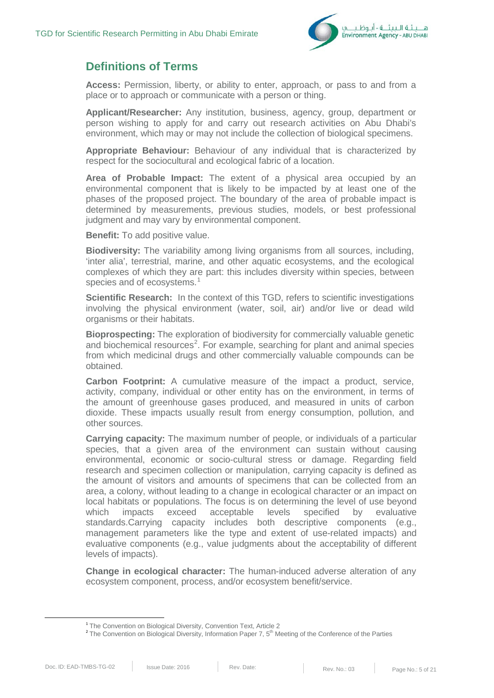

### **Definitions of Terms**

**Access:** Permission, liberty, or ability to enter, approach, or pass to and from a place or to approach or communicate with a person or thing.

**Applicant/Researcher:** Any institution, business, agency, group, department or person wishing to apply for and carry out research activities on Abu Dhabi's environment, which may or may not include the collection of biological specimens.

**Appropriate Behaviour:** Behaviour of any individual that is characterized by respect for the sociocultural and ecological fabric of a location.

**Area of Probable Impact:** The extent of a physical area occupied by an environmental component that is likely to be impacted by at least one of the phases of the proposed project. The boundary of the area of probable impact is determined by measurements, previous studies, models, or best professional judgment and may vary by environmental component.

**Benefit:** To add positive value.

**Biodiversity:** The variability among living organisms from all sources, including, 'inter alia', terrestrial, marine, and other aquatic ecosystems, and the ecological complexes of which they are part: this includes diversity within species, between species and of ecosystems.<sup>[1](#page-4-0)</sup>

**Scientific Research:** In the context of this TGD, refers to scientific investigations involving the physical environment (water, soil, air) and/or live or dead wild organisms or their habitats.

**Bioprospecting:** The exploration of biodiversity for commercially valuable genetic and biochemical resources<sup>[2](#page-4-1)</sup>. For example, searching for plant and animal species from which medicinal drugs and other commercially valuable compounds can be obtained.

**Carbon Footprint:** A cumulative measure of the impact a product, service, activity, company, individual or other entity has on the environment, in terms of the amount of greenhouse gases produced, and measured in units of carbon dioxide. These impacts usually result from energy consumption, pollution, and other sources.

**Carrying capacity:** The maximum number of people, or individuals of a particular species, that a given area of the environment can sustain without causing environmental, economic or socio-cultural stress or damage. Regarding field research and specimen collection or manipulation, carrying capacity is defined as the amount of visitors and amounts of specimens that can be collected from an area, a colony, without leading to a change in ecological character or an impact on local habitats or populations. The focus is on determining the level of use beyond which impacts exceed acceptable levels specified by evaluative standards.Carrying capacity includes both descriptive components (e.g., management parameters like the type and extent of use-related impacts) and evaluative components (e.g., value judgments about the acceptability of different levels of impacts).

**Change in ecological character:** The human-induced adverse alteration of any ecosystem component, process, and/or ecosystem benefit/service.

<span id="page-4-1"></span><span id="page-4-0"></span><sup>&</sup>lt;sup>1</sup> The Convention on Biological Diversity, Convention Text, Article 2

<sup>&</sup>lt;sup>2</sup> The Convention on Biological Diversity, Information Paper 7, 5<sup>th</sup> Meeting of the Conference of the Parties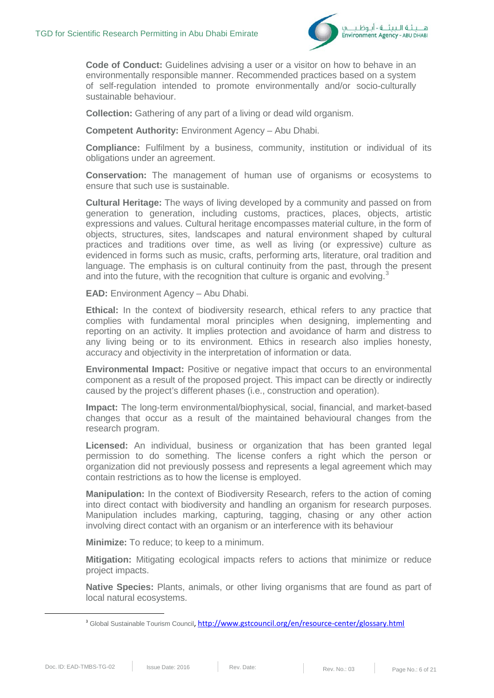

**Code of Conduct:** Guidelines advising a user or a visitor on how to behave in an environmentally responsible manner. Recommended practices based on a system of self-regulation intended to promote environmentally and/or socio-culturally sustainable behaviour.

**Collection:** Gathering of any part of a living or dead wild organism.

**Competent Authority:** Environment Agency – Abu Dhabi.

**Compliance:** Fulfilment by a business, community, institution or individual of its obligations under an agreement.

**Conservation:** The management of human use of organisms or ecosystems to ensure that such use is sustainable.

**Cultural Heritage:** The ways of living developed by a community and passed on from generation to generation, including customs, practices, places, objects, artistic expressions and values. Cultural heritage encompasses material culture, in the form of objects, structures, sites, landscapes and natural environment shaped by cultural practices and traditions over time, as well as living (or expressive) culture as evidenced in forms such as music, crafts, performing arts, literature, oral tradition and language. The emphasis is on cultural continuity from the past, through the present and into the future, with the recognition that culture is organic and evolving.<sup>[3](#page-5-0)</sup>

**EAD:** Environment Agency – Abu Dhabi.

**Ethical:** In the context of biodiversity research, ethical refers to any practice that complies with fundamental moral principles when designing, implementing and reporting on an activity. It implies protection and avoidance of harm and distress to any living being or to its environment. Ethics in research also implies honesty, accuracy and objectivity in the interpretation of information or data.

**Environmental Impact:** Positive or negative impact that occurs to an environmental component as a result of the proposed project. This impact can be directly or indirectly caused by the project's different phases (i.e., construction and operation).

**Impact:** The long-term environmental/biophysical, social, financial, and market-based changes that occur as a result of the maintained behavioural changes from the research program.

**Licensed:** An individual, business or organization that has been granted legal permission to do something. The license confers a right which the person or organization did not previously possess and represents a legal agreement which may contain restrictions as to how the license is employed.

**Manipulation:** In the context of Biodiversity Research, refers to the action of coming into direct contact with biodiversity and handling an organism for research purposes. Manipulation includes marking, capturing, tagging, chasing or any other action involving direct contact with an organism or an interference with its behaviour

**Minimize:** To reduce; to keep to a minimum.

**Mitigation:** Mitigating ecological impacts refers to actions that minimize or reduce project impacts.

**Native Species:** Plants, animals, or other living organisms that are found as part of local natural ecosystems.

<span id="page-5-0"></span><sup>&</sup>lt;sup>3</sup> Global Sustainable Tourism Council[, http://www.gstcouncil.org/en/resource-center/glossary.html](http://www.gstcouncil.org/en/resource-center/glossary.html)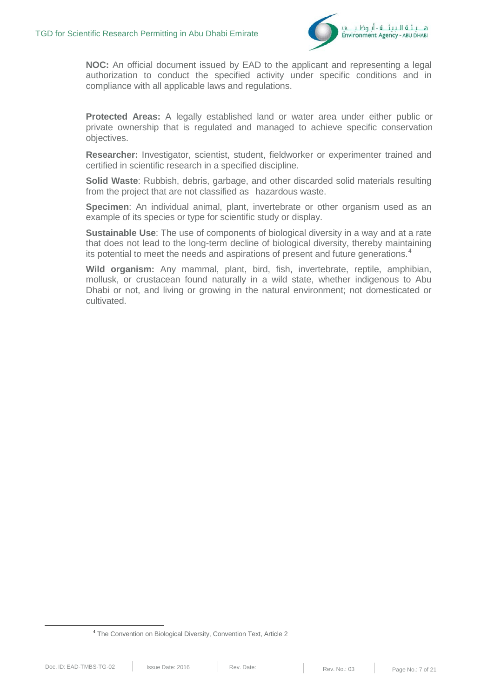

**NOC:** An official document issued by EAD to the applicant and representing a legal authorization to conduct the specified activity under specific conditions and in compliance with all applicable laws and regulations.

**Protected Areas:** A legally established land or water area under either public or private ownership that is regulated and managed to achieve specific conservation objectives.

**Researcher:** Investigator, scientist, student, fieldworker or experimenter trained and certified in scientific research in a specified discipline.

**Solid Waste**: Rubbish, debris, garbage, and other discarded solid materials resulting from the project that are not classified as hazardous waste.

**Specimen**: An individual animal, plant, invertebrate or other organism used as an example of its species or type for scientific study or display.

**Sustainable Use**: The use of components of biological diversity in a way and at a rate that does not lead to the long-term decline of biological diversity, thereby maintaining its potential to meet the needs and aspirations of present and future generations.<sup>[4](#page-6-0)</sup>

**Wild organism:** Any mammal, plant, bird, fish, invertebrate, reptile, amphibian, mollusk, or crustacean found naturally in a wild state, whether indigenous to Abu Dhabi or not, and living or growing in the natural environment; not domesticated or cultivated.

<span id="page-6-0"></span> <sup>4</sup> The Convention on Biological Diversity, Convention Text, Article 2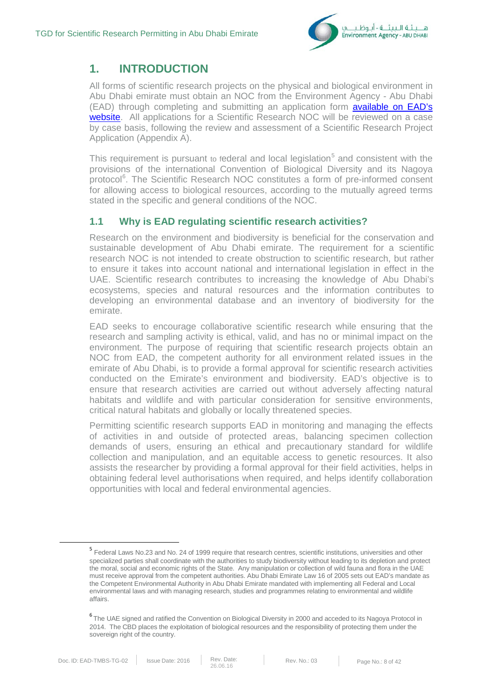

## **1. INTRODUCTION**

All forms of scientific research projects on the physical and biological environment in Abu Dhabi emirate must obtain an NOC from the Environment Agency - Abu Dhabi (EAD) through completing and submitting an application form [available on EAD's](https://www.ead.ae/Pages/our-services/researchers.aspx)  [website.](https://www.ead.ae/Pages/our-services/researchers.aspx) All applications for a Scientific Research NOC will be reviewed on a case by case basis, following the review and assessment of a Scientific Research Project Application (Appendix A).

This requirement is pursuant to federal and local legislation<sup>[5](#page-7-0)</sup> and consistent with the provisions of the international Convention of Biological Diversity and its Nagoya protocol<sup>[6](#page-7-1)</sup>. The Scientific Research NOC constitutes a form of pre-informed consent for allowing access to biological resources, according to the mutually agreed terms stated in the specific and general conditions of the NOC.

### **1.1 Why is EAD regulating scientific research activities?**

Research on the environment and biodiversity is beneficial for the conservation and sustainable development of Abu Dhabi emirate. The requirement for a scientific research NOC is not intended to create obstruction to scientific research, but rather to ensure it takes into account national and international legislation in effect in the UAE. Scientific research contributes to increasing the knowledge of Abu Dhabi's ecosystems, species and natural resources and the information contributes to developing an environmental database and an inventory of biodiversity for the emirate.

EAD seeks to encourage collaborative scientific research while ensuring that the research and sampling activity is ethical, valid, and has no or minimal impact on the environment. The purpose of requiring that scientific research projects obtain an NOC from EAD, the competent authority for all environment related issues in the emirate of Abu Dhabi, is to provide a formal approval for scientific research activities conducted on the Emirate's environment and biodiversity. EAD's objective is to ensure that research activities are carried out without adversely affecting natural habitats and wildlife and with particular consideration for sensitive environments, critical natural habitats and globally or locally threatened species.

Permitting scientific research supports EAD in monitoring and managing the effects of activities in and outside of protected areas, balancing specimen collection demands of users, ensuring an ethical and precautionary standard for wildlife collection and manipulation, and an equitable access to genetic resources. It also assists the researcher by providing a formal approval for their field activities, helps in obtaining federal level authorisations when required, and helps identify collaboration opportunities with local and federal environmental agencies.

<span id="page-7-0"></span> <sup>5</sup> Federal Laws No.23 and No. 24 of 1999 require that research centres, scientific institutions, universities and other specialized parties shall coordinate with the authorities to study biodiversity without leading to its depletion and protect the moral, social and economic rights of the State. Any manipulation or collection of wild fauna and flora in the UAE must receive approval from the competent authorities. Abu Dhabi Emirate Law 16 of 2005 sets out EAD's mandate as the Competent Environmental Authority in Abu Dhabi Emirate mandated with implementing all Federal and Local environmental laws and with managing research, studies and programmes relating to environmental and wildlife affairs.

<span id="page-7-1"></span><sup>6</sup> The UAE signed and ratified the Convention on Biological Diversity in 2000 and acceded to its Nagoya Protocol in 2014. The CBD places the exploitation of biological resources and the responsibility of protecting them under the sovereign right of the country.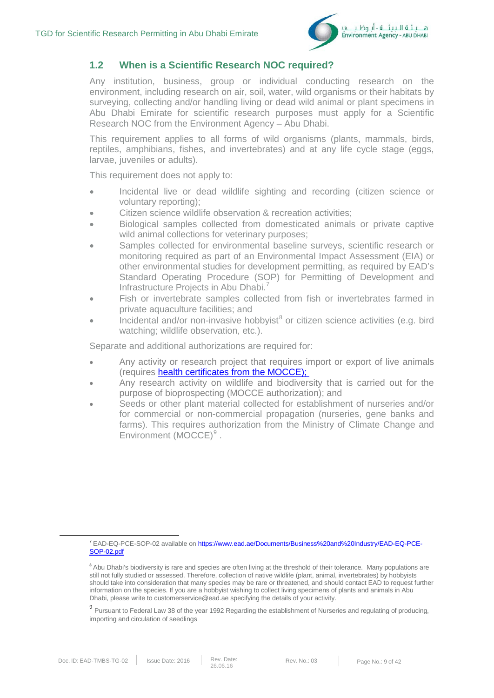

### **1.2 When is a Scientific Research NOC required?**

Any institution, business, group or individual conducting research on the environment, including research on air, soil, water, wild organisms or their habitats by surveying, collecting and/or handling living or dead wild animal or plant specimens in Abu Dhabi Emirate for scientific research purposes must apply for a Scientific Research NOC from the Environment Agency – Abu Dhabi.

This requirement applies to all forms of wild organisms (plants, mammals, birds, reptiles, amphibians, fishes, and invertebrates) and at any life cycle stage (eggs, larvae, juveniles or adults).

This requirement does not apply to:

- Incidental live or dead wildlife sighting and recording (citizen science or voluntary reporting);
- Citizen science wildlife observation & recreation activities;
- Biological samples collected from domesticated animals or private captive wild animal collections for veterinary purposes;
- Samples collected for environmental baseline surveys, scientific research or monitoring required as part of an Environmental Impact Assessment (EIA) or other environmental studies for development permitting, as required by EAD's Standard Operating Procedure (SOP) for Permitting of Development and Infrastructure Projects in Abu Dhabi.[7](#page-8-0)
- Fish or invertebrate samples collected from fish or invertebrates farmed in private aquaculture facilities; and
- Incidental and/or non-invasive hobbyist $<sup>8</sup>$  $<sup>8</sup>$  $<sup>8</sup>$  or citizen science activities (e.g. bird</sup> watching; wildlife observation, etc.).

Separate and additional authorizations are required for:

- Any activity or research project that requires import or export of live animals (requires [health certificates from the MOCCE\);](http://www.moew.gov.ae/en/our-services/animal-wealth/certificates/animal-health-certificate-for-export-re-export-of-live-animals.aspx)
- Any research activity on wildlife and biodiversity that is carried out for the purpose of bioprospecting (MOCCE authorization); and
- Seeds or other plant material collected for establishment of nurseries and/or for commercial or non-commercial propagation (nurseries, gene banks and farms). This requires authorization from the Ministry of Climate Change and Environment (MOCCE)<sup>[9](#page-8-2)</sup>.

<span id="page-8-0"></span> <sup>7</sup> EAD-EQ-PCE-SOP-02 available on [https://www.ead.ae/Documents/Business%20and%20Industry/EAD-EQ-PCE-](https://www.ead.ae/Documents/Business%20and%20Industry/EAD-EQ-PCE-SOP-02.pdf)[SOP-02.pdf](https://www.ead.ae/Documents/Business%20and%20Industry/EAD-EQ-PCE-SOP-02.pdf)

<span id="page-8-1"></span><sup>&</sup>lt;sup>8</sup> Abu Dhabi's biodiversity is rare and species are often living at the threshold of their tolerance. Many populations are still not fully studied or assessed. Therefore, collection of native wildlife (plant, animal, invertebrates) by hobbyists should take into consideration that many species may be rare or threatened, and should contact EAD to request further information on the species. If you are a hobbyist wishing to collect living specimens of plants and animals in Abu Dhabi, please write to [customerservice@ead.ae](mailto:customerservice@ead.ae) specifying the details of your activity.

<span id="page-8-2"></span><sup>9</sup> Pursuant to Federal Law 38 of the year 1992 Regarding the establishment of Nurseries and regulating of producing, importing and circulation of seedlings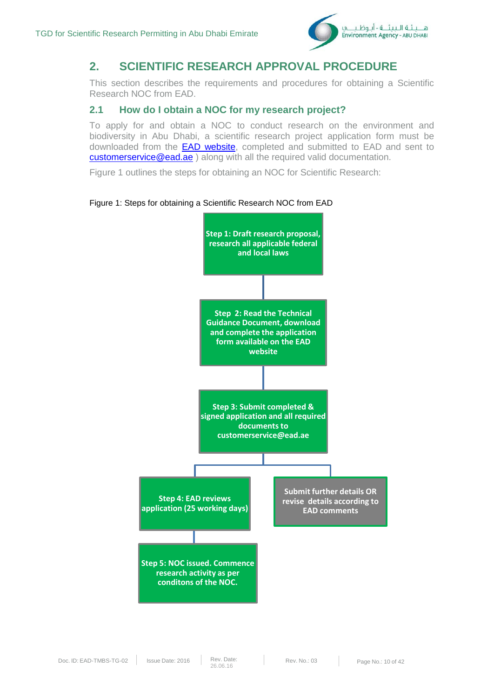

## **2. SCIENTIFIC RESEARCH APPROVAL PROCEDURE**

This section describes the requirements and procedures for obtaining a Scientific Research NOC from EAD.

### **2.1 How do I obtain a NOC for my research project?**

To apply for and obtain a NOC to conduct research on the environment and biodiversity in Abu Dhabi, a scientific research project application form must be downloaded from the **EAD website**, completed and submitted to EAD and sent to [customerservice@ead.ae](mailto:customerservice@ead.ae) ) along with all the required valid documentation.

Figure 1 outlines the steps for obtaining an NOC for Scientific Research:

#### Figure 1: Steps for obtaining a Scientific Research NOC from EAD

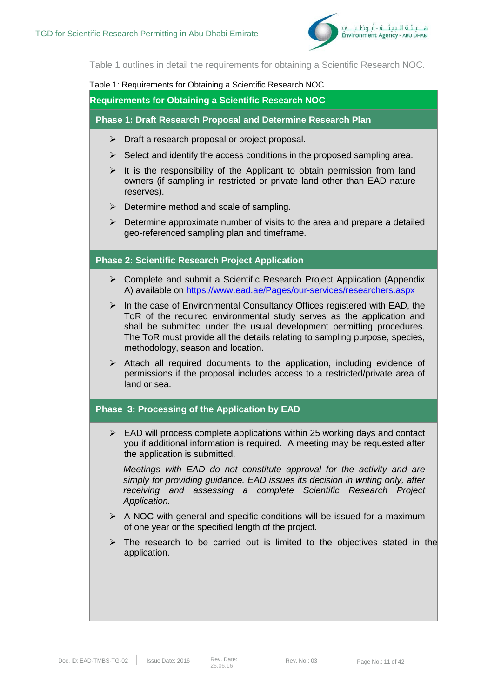

Table 1 outlines in detail the requirements for obtaining a Scientific Research NOC.

#### Table 1: Requirements for Obtaining a Scientific Research NOC.

**Requirements for Obtaining a Scientific Research NOC**

**Phase 1: Draft Research Proposal and Determine Research Plan**

- > Draft a research proposal or project proposal.
- $\triangleright$  Select and identify the access conditions in the proposed sampling area.
- $\triangleright$  It is the responsibility of the Applicant to obtain permission from land owners (if sampling in restricted or private land other than EAD nature reserves).
- $\triangleright$  Determine method and scale of sampling.
- $\triangleright$  Determine approximate number of visits to the area and prepare a detailed geo-referenced sampling plan and timeframe.

### **Phase 2: Scientific Research Project Application**

- $\triangleright$  Complete and submit a Scientific Research Project Application (Appendix A) available on<https://www.ead.ae/Pages/our-services/researchers.aspx>
- $\triangleright$  In the case of Environmental Consultancy Offices registered with EAD, the ToR of the required environmental study serves as the application and shall be submitted under the usual development permitting procedures. The ToR must provide all the details relating to sampling purpose, species, methodology, season and location.
- $\triangleright$  Attach all required documents to the application, including evidence of permissions if the proposal includes access to a restricted/private area of land or sea.

### **Phase 3: Processing of the Application by EAD**

 $\triangleright$  EAD will process complete applications within 25 working days and contact you if additional information is required. A meeting may be requested after the application is submitted.

*Meetings with EAD do not constitute approval for the activity and are simply for providing guidance. EAD issues its decision in writing only, after receiving and assessing a complete Scientific Research Project Application.*

- $\triangleright$  A NOC with general and specific conditions will be issued for a maximum of one year or the specified length of the project.
- $\triangleright$  The research to be carried out is limited to the objectives stated in the application.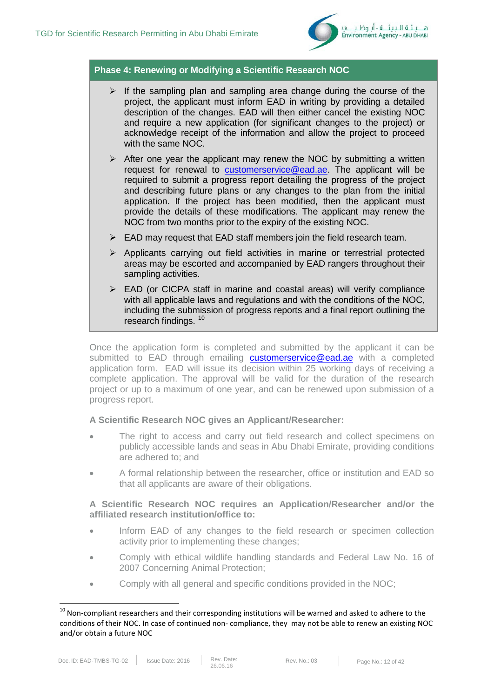

### **Phase 4: Renewing or Modifying a Scientific Research NOC**

- $\triangleright$  If the sampling plan and sampling area change during the course of the project, the applicant must inform EAD in writing by providing a detailed description of the changes. EAD will then either cancel the existing NOC and require a new application (for significant changes to the project) or acknowledge receipt of the information and allow the project to proceed with the same NOC.
- $\triangleright$  After one year the applicant may renew the NOC by submitting a written request for renewal to [customerservice@ead.ae.](mailto:customerservice@ead.ae) The applicant will be required to submit a progress report detailing the progress of the project and describing future plans or any changes to the plan from the initial application. If the project has been modified, then the applicant must provide the details of these modifications. The applicant may renew the NOC from two months prior to the expiry of the existing NOC.
- $\triangleright$  EAD may request that EAD staff members join the field research team.
- $\triangleright$  Applicants carrying out field activities in marine or terrestrial protected areas may be escorted and accompanied by EAD rangers throughout their sampling activities.
- $\triangleright$  EAD (or CICPA staff in marine and coastal areas) will verify compliance with all applicable laws and regulations and with the conditions of the NOC, including the submission of progress reports and a final report outlining the research findings. [10](#page-11-0)

Once the application form is completed and submitted by the applicant it can be submitted to EAD through emailing **[customerservice@ead.ae](mailto:customerservice@ead.ae)** with a completed application form. EAD will issue its decision within 25 working days of receiving a complete application. The approval will be valid for the duration of the research project or up to a maximum of one year, and can be renewed upon submission of a progress report.

#### **A Scientific Research NOC gives an Applicant/Researcher:**

- The right to access and carry out field research and collect specimens on publicly accessible lands and seas in Abu Dhabi Emirate, providing conditions are adhered to; and
- A formal relationship between the researcher, office or institution and EAD so that all applicants are aware of their obligations.

### **A Scientific Research NOC requires an Application/Researcher and/or the affiliated research institution/office to:**

- Inform EAD of any changes to the field research or specimen collection activity prior to implementing these changes;
- Comply with ethical wildlife handling standards and Federal Law No. 16 of 2007 Concerning Animal Protection;
- Comply with all general and specific conditions provided in the NOC;

<span id="page-11-0"></span> $10$  Non-compliant researchers and their corresponding institutions will be warned and asked to adhere to the conditions of their NOC. In case of continued non- compliance, they may not be able to renew an existing NOC and/or obtain a future NOC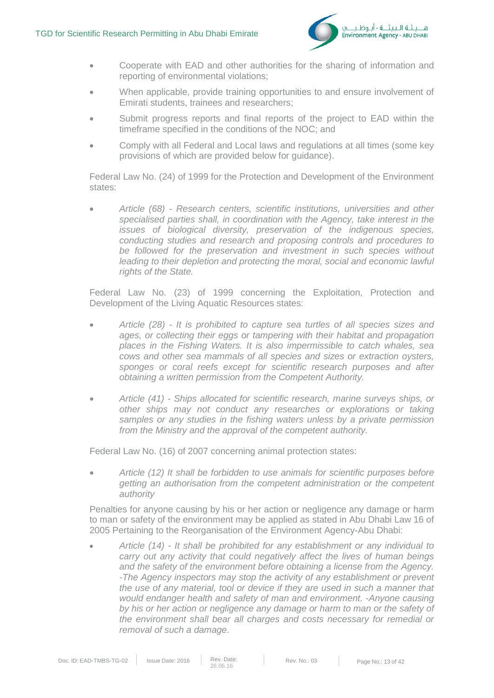

- Cooperate with EAD and other authorities for the sharing of information and reporting of environmental violations;
- When applicable, provide training opportunities to and ensure involvement of Emirati students, trainees and researchers;
- Submit progress reports and final reports of the project to EAD within the timeframe specified in the conditions of the NOC; and
- Comply with all Federal and Local laws and regulations at all times (some key provisions of which are provided below for guidance).

Federal Law No. (24) of 1999 for the Protection and Development of the Environment states:

• *Article (68) - Research centers, scientific institutions, universities and other specialised parties shall, in coordination with the Agency, take interest in the issues of biological diversity, preservation of the indigenous species, conducting studies and research and proposing controls and procedures to be followed for the preservation and investment in such species without leading to their depletion and protecting the moral, social and economic lawful rights of the State.* 

Federal Law No. (23) of 1999 concerning the Exploitation, Protection and Development of the Living Aquatic Resources states:

- *Article (28) - It is prohibited to capture sea turtles of all species sizes and ages, or collecting their eggs or tampering with their habitat and propagation places in the Fishing Waters. It is also impermissible to catch whales, sea cows and other sea mammals of all species and sizes or extraction oysters, sponges or coral reefs except for scientific research purposes and after obtaining a written permission from the Competent Authority.*
- *Article (41) - Ships allocated for scientific research, marine surveys ships, or other ships may not conduct any researches or explorations or taking samples or any studies in the fishing waters unless by a private permission from the Ministry and the approval of the competent authority.*

Federal Law No. (16) of 2007 concerning animal protection states:

• *Article (12) It shall be forbidden to use animals for scientific purposes before getting an authorisation from the competent administration or the competent authority* 

Penalties for anyone causing by his or her action or negligence any damage or harm to man or safety of the environment may be applied as stated in Abu Dhabi Law 16 of 2005 Pertaining to the Reorganisation of the Environment Agency-Abu Dhabi:

• *Article (14) - It shall be prohibited for any establishment or any individual to carry out any activity that could negatively affect the lives of human beings and the safety of the environment before obtaining a license from the Agency. -The Agency inspectors may stop the activity of any establishment or prevent the use of any material, tool or device if they are used in such a manner that would endanger health and safety of man and environment. -Anyone causing by his or her action or negligence any damage or harm to man or the safety of the environment shall bear all charges and costs necessary for remedial or removal of such a damage*.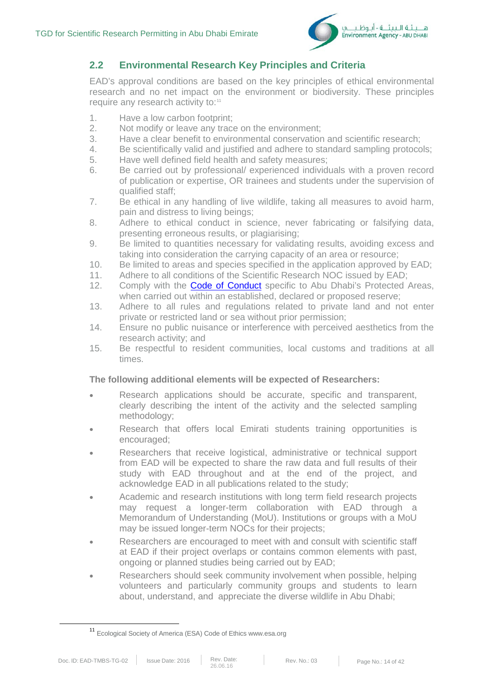

### **2.2 Environmental Research Key Principles and Criteria**

EAD's approval conditions are based on the key principles of ethical environmental research and no net impact on the environment or biodiversity. These principles require any research activity to:<sup>[11](#page-13-0)</sup>

- 1. Have a low carbon footprint;
- 2. Not modify or leave any trace on the environment;<br>3. Have a clear benefit to environmental conservation
- 3. Have a clear benefit to environmental conservation and scientific research;<br>4. Be scientifically valid and iustified and adhere to standard sampling protoco
- 4. Be scientifically valid and justified and adhere to standard sampling protocols;<br>5. Have well defined field health and safety measures:
- 5. Have well defined field health and safety measures;
- 6. Be carried out by professional/ experienced individuals with a proven record of publication or expertise, OR trainees and students under the supervision of qualified staff;
- 7. Be ethical in any handling of live wildlife, taking all measures to avoid harm, pain and distress to living beings;
- 8. Adhere to ethical conduct in science, never fabricating or falsifying data, presenting erroneous results, or plagiarising;
- 9. Be limited to quantities necessary for validating results, avoiding excess and taking into consideration the carrying capacity of an area or resource;
- 10. Be limited to areas and species specified in the application approved by EAD;
- 11. Adhere to all conditions of the Scientific Research NOC issued by EAD;
- 12. Comply with the **Code of Conduct** specific to Abu Dhabi's Protected Areas, when carried out within an established, declared or proposed reserve;
- 13. Adhere to all rules and regulations related to private land and not enter private or restricted land or sea without prior permission;
- 14. Ensure no public nuisance or interference with perceived aesthetics from the research activity; and
- 15. Be respectful to resident communities, local customs and traditions at all times.

#### **The following additional elements will be expected of Researchers:**

- Research applications should be accurate, specific and transparent, clearly describing the intent of the activity and the selected sampling methodology;
- Research that offers local Emirati students training opportunities is encouraged;
- Researchers that receive logistical, administrative or technical support from EAD will be expected to share the raw data and full results of their study with EAD throughout and at the end of the project, and acknowledge EAD in all publications related to the study;
- Academic and research institutions with long term field research projects may request a longer-term collaboration with EAD through a Memorandum of Understanding (MoU). Institutions or groups with a MoU may be issued longer-term NOCs for their projects;
- Researchers are encouraged to meet with and consult with scientific staff at EAD if their project overlaps or contains common elements with past, ongoing or planned studies being carried out by EAD;
- Researchers should seek community involvement when possible, helping volunteers and particularly community groups and students to learn about, understand, and appreciate the diverse wildlife in Abu Dhabi;

<span id="page-13-0"></span> <sup>11</sup> Ecological Society of America (ESA) Code of Ethics www.esa.org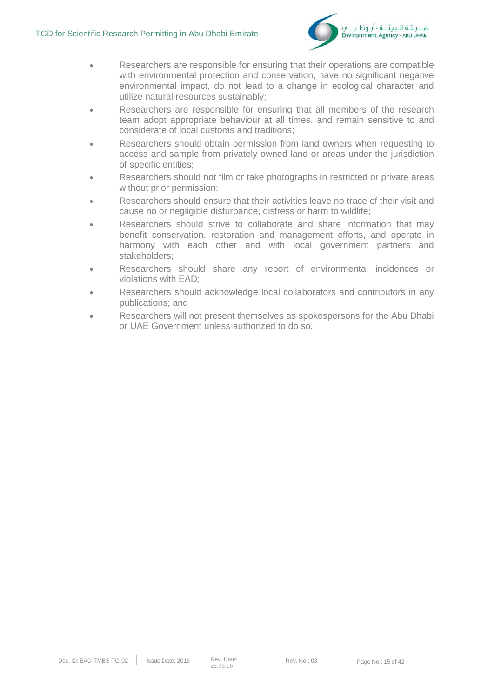

- Researchers are responsible for ensuring that their operations are compatible with environmental protection and conservation, have no significant negative environmental impact, do not lead to a change in ecological character and utilize natural resources sustainably;
- Researchers are responsible for ensuring that all members of the research team adopt appropriate behaviour at all times, and remain sensitive to and considerate of local customs and traditions;
- Researchers should obtain permission from land owners when requesting to access and sample from privately owned land or areas under the jurisdiction of specific entities;
- Researchers should not film or take photographs in restricted or private areas without prior permission;
- Researchers should ensure that their activities leave no trace of their visit and cause no or negligible disturbance, distress or harm to wildlife;
- Researchers should strive to collaborate and share information that may benefit conservation, restoration and management efforts, and operate in harmony with each other and with local government partners and stakeholders;
- Researchers should share any report of environmental incidences or violations with EAD;
- Researchers should acknowledge local collaborators and contributors in any publications; and
- Researchers will not present themselves as spokespersons for the Abu Dhabi or UAE Government unless authorized to do so.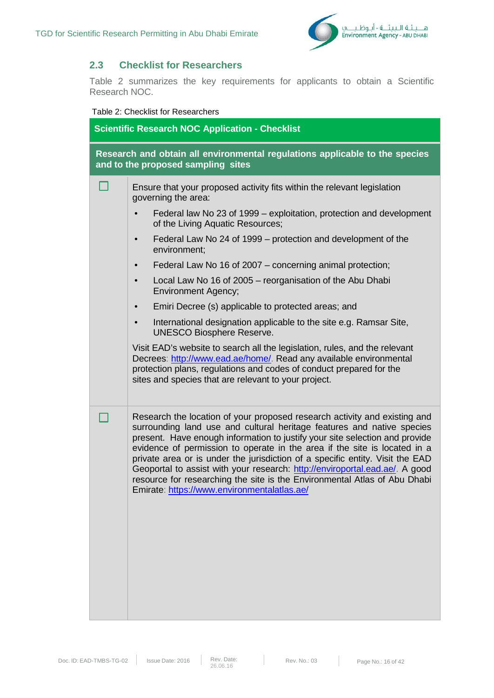

### **2.3 Checklist for Researchers**

Table 2 summarizes the key requirements for applicants to obtain a Scientific Research NOC.

#### Table 2: Checklist for Researchers

| <b>Scientific Research NOC Application - Checklist</b> |                                                                                                                                                                                                                                                                                                                                                                                                                                                                                                                                                                                                             |  |  |
|--------------------------------------------------------|-------------------------------------------------------------------------------------------------------------------------------------------------------------------------------------------------------------------------------------------------------------------------------------------------------------------------------------------------------------------------------------------------------------------------------------------------------------------------------------------------------------------------------------------------------------------------------------------------------------|--|--|
|                                                        | Research and obtain all environmental regulations applicable to the species<br>and to the proposed sampling sites                                                                                                                                                                                                                                                                                                                                                                                                                                                                                           |  |  |
|                                                        | Ensure that your proposed activity fits within the relevant legislation<br>governing the area:                                                                                                                                                                                                                                                                                                                                                                                                                                                                                                              |  |  |
|                                                        | Federal law No 23 of 1999 – exploitation, protection and development<br>of the Living Aquatic Resources;                                                                                                                                                                                                                                                                                                                                                                                                                                                                                                    |  |  |
|                                                        | Federal Law No 24 of 1999 – protection and development of the<br>environment;                                                                                                                                                                                                                                                                                                                                                                                                                                                                                                                               |  |  |
|                                                        | Federal Law No 16 of 2007 - concerning animal protection;<br>$\bullet$                                                                                                                                                                                                                                                                                                                                                                                                                                                                                                                                      |  |  |
|                                                        | Local Law No 16 of 2005 - reorganisation of the Abu Dhabi<br><b>Environment Agency;</b>                                                                                                                                                                                                                                                                                                                                                                                                                                                                                                                     |  |  |
|                                                        | Emiri Decree (s) applicable to protected areas; and                                                                                                                                                                                                                                                                                                                                                                                                                                                                                                                                                         |  |  |
|                                                        | International designation applicable to the site e.g. Ramsar Site,<br>$\bullet$<br><b>UNESCO Biosphere Reserve.</b>                                                                                                                                                                                                                                                                                                                                                                                                                                                                                         |  |  |
|                                                        | Visit EAD's website to search all the legislation, rules, and the relevant<br>Decrees: http://www.ead.ae/home/. Read any available environmental<br>protection plans, regulations and codes of conduct prepared for the<br>sites and species that are relevant to your project.                                                                                                                                                                                                                                                                                                                             |  |  |
|                                                        | Research the location of your proposed research activity and existing and<br>surrounding land use and cultural heritage features and native species<br>present. Have enough information to justify your site selection and provide<br>evidence of permission to operate in the area if the site is located in a<br>private area or is under the jurisdiction of a specific entity. Visit the EAD<br>Geoportal to assist with your research: http://enviroportal.ead.ae/. A good<br>resource for researching the site is the Environmental Atlas of Abu Dhabi<br>Emirate: https://www.environmentalatlas.ae/ |  |  |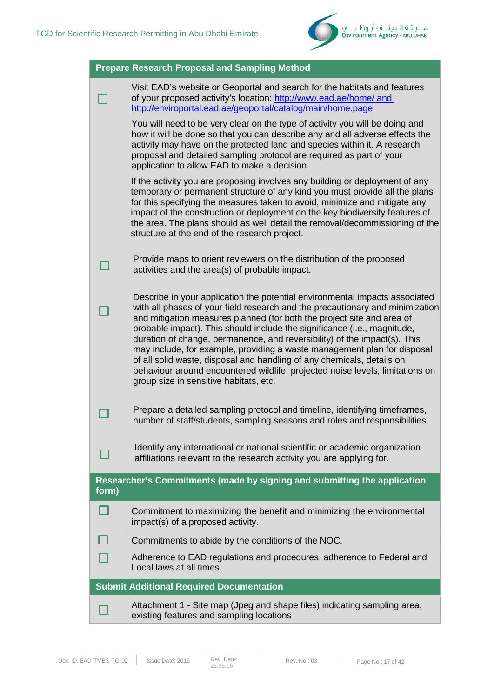

|       | <b>Prepare Research Proposal and Sampling Method</b>                                                                                                                                                                                                                                                                                                                                                                                                                                                                                                                                                                                                                             |
|-------|----------------------------------------------------------------------------------------------------------------------------------------------------------------------------------------------------------------------------------------------------------------------------------------------------------------------------------------------------------------------------------------------------------------------------------------------------------------------------------------------------------------------------------------------------------------------------------------------------------------------------------------------------------------------------------|
|       | Visit EAD's website or Geoportal and search for the habitats and features<br>of your proposed activity's location: http://www.ead.ae/home/ and<br>http://enviroportal.ead.ae/geoportal/catalog/main/home.page                                                                                                                                                                                                                                                                                                                                                                                                                                                                    |
|       | You will need to be very clear on the type of activity you will be doing and<br>how it will be done so that you can describe any and all adverse effects the<br>activity may have on the protected land and species within it. A research<br>proposal and detailed sampling protocol are required as part of your<br>application to allow EAD to make a decision.                                                                                                                                                                                                                                                                                                                |
|       | If the activity you are proposing involves any building or deployment of any<br>temporary or permanent structure of any kind you must provide all the plans<br>for this specifying the measures taken to avoid, minimize and mitigate any<br>impact of the construction or deployment on the key biodiversity features of<br>the area. The plans should as well detail the removal/decommissioning of the<br>structure at the end of the research project.                                                                                                                                                                                                                       |
|       | Provide maps to orient reviewers on the distribution of the proposed<br>activities and the area(s) of probable impact.                                                                                                                                                                                                                                                                                                                                                                                                                                                                                                                                                           |
|       | Describe in your application the potential environmental impacts associated<br>with all phases of your field research and the precautionary and minimization<br>and mitigation measures planned (for both the project site and area of<br>probable impact). This should include the significance (i.e., magnitude,<br>duration of change, permanence, and reversibility) of the impact(s). This<br>may include, for example, providing a waste management plan for disposal<br>of all solid waste, disposal and handling of any chemicals, details on<br>behaviour around encountered wildlife, projected noise levels, limitations on<br>group size in sensitive habitats, etc. |
|       | Prepare a detailed sampling protocol and timeline, identifying timeframes,<br>number of staff/students, sampling seasons and roles and responsibilities.                                                                                                                                                                                                                                                                                                                                                                                                                                                                                                                         |
|       | Identify any international or national scientific or academic organization<br>affiliations relevant to the research activity you are applying for.                                                                                                                                                                                                                                                                                                                                                                                                                                                                                                                               |
| form) | Researcher's Commitments (made by signing and submitting the application                                                                                                                                                                                                                                                                                                                                                                                                                                                                                                                                                                                                         |
|       | Commitment to maximizing the benefit and minimizing the environmental<br>impact(s) of a proposed activity.                                                                                                                                                                                                                                                                                                                                                                                                                                                                                                                                                                       |
|       | Commitments to abide by the conditions of the NOC.                                                                                                                                                                                                                                                                                                                                                                                                                                                                                                                                                                                                                               |
|       | Adherence to EAD regulations and procedures, adherence to Federal and<br>Local laws at all times.                                                                                                                                                                                                                                                                                                                                                                                                                                                                                                                                                                                |
|       | <b>Submit Additional Required Documentation</b>                                                                                                                                                                                                                                                                                                                                                                                                                                                                                                                                                                                                                                  |
|       | Attachment 1 - Site map (Jpeg and shape files) indicating sampling area,<br>existing features and sampling locations                                                                                                                                                                                                                                                                                                                                                                                                                                                                                                                                                             |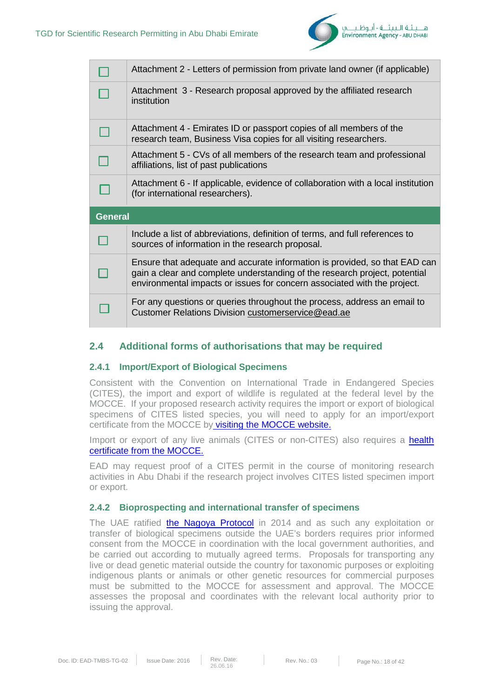

|                | Attachment 2 - Letters of permission from private land owner (if applicable)                                                                                                                                                         |
|----------------|--------------------------------------------------------------------------------------------------------------------------------------------------------------------------------------------------------------------------------------|
|                | Attachment 3 - Research proposal approved by the affiliated research<br>institution                                                                                                                                                  |
|                | Attachment 4 - Emirates ID or passport copies of all members of the<br>research team, Business Visa copies for all visiting researchers.                                                                                             |
|                | Attachment 5 - CVs of all members of the research team and professional<br>affiliations, list of past publications                                                                                                                   |
|                | Attachment 6 - If applicable, evidence of collaboration with a local institution<br>(for international researchers).                                                                                                                 |
| <b>General</b> |                                                                                                                                                                                                                                      |
|                | Include a list of abbreviations, definition of terms, and full references to<br>sources of information in the research proposal.                                                                                                     |
|                | Ensure that adequate and accurate information is provided, so that EAD can<br>gain a clear and complete understanding of the research project, potential<br>environmental impacts or issues for concern associated with the project. |
|                | For any questions or queries throughout the process, address an email to                                                                                                                                                             |

### **2.4 Additional forms of authorisations that may be required**

### **2.4.1 Import/Export of Biological Specimens**

Consistent with the Convention on International Trade in Endangered Species (CITES), the import and export of wildlife is regulated at the federal level by the MOCCE. If your proposed research activity requires the import or export of biological specimens of CITES listed species, you will need to apply for an import/export certificate from the MOCCE by [visiting the MOCCE website.](http://www.moew.gov.ae/en/our-services/cites/cites/cites-certificate-importexportre-exportothers.aspx)

Import or export of any live animals (CITES or non-CITES) also requires a health [certificate from the MOCCE.](http://www.moew.gov.ae/en/our-services/animal-wealth/permits/%D8%A5%D8%B5%D8%AF%D8%A7%D8%B1-%D8%A5%D8%B0%D9%86-%D8%A7%D8%B3%D8%AA%D9%8A%D8%B1%D8%A7%D8%AF-%D8%AD%D9%8A%D9%88%D8%A7%D9%86%D8%A7%D8%AA-%D9%88%D8%B7%D9%8A%D9%88%D8%B1-%D8%AD%D9%8A%D8%A9-%D9%88%D8%A3%D8%B3%D9%85%D8%A7%D9%83-%D8%A7%D9%84%D8%B2%D9%8A%D9%86%D8%A9.aspx)

EAD may request proof of a CITES permit in the course of monitoring research activities in Abu Dhabi if the research project involves CITES listed specimen import or export.

### **2.4.2 Bioprospecting and international transfer of specimens**

The UAE ratified [the Nagoya Protocol](https://www.cbd.int/abs/) in 2014 and as such any exploitation or transfer of biological specimens outside the UAE's borders requires prior informed consent from the MOCCE in coordination with the local government authorities, and be carried out according to mutually agreed terms. Proposals for transporting any live or dead genetic material outside the country for taxonomic purposes or exploiting indigenous plants or animals or other genetic resources for commercial purposes must be submitted to the MOCCE for assessment and approval. The MOCCE assesses the proposal and coordinates with the relevant local authority prior to issuing the approval.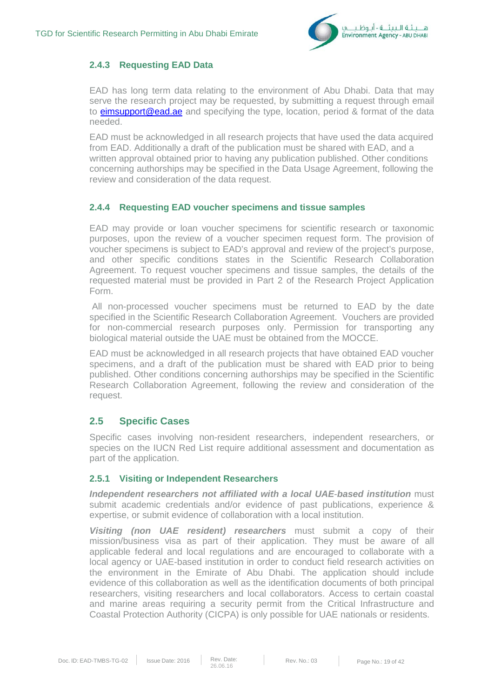

### **2.4.3 Requesting EAD Data**

EAD has long term data relating to the environment of Abu Dhabi. Data that may serve the research project may be requested, by submitting a request through email to **eimsupport@ead.ae** and specifying the type, location, period & format of the data needed.

EAD must be acknowledged in all research projects that have used the data acquired from EAD. Additionally a draft of the publication must be shared with EAD, and a written approval obtained prior to having any publication published. Other conditions concerning authorships may be specified in the Data Usage Agreement, following the review and consideration of the data request.

### **2.4.4 Requesting EAD voucher specimens and tissue samples**

EAD may provide or loan voucher specimens for scientific research or taxonomic purposes, upon the review of a voucher specimen request form. The provision of voucher specimens is subject to EAD's approval and review of the project's purpose, and other specific conditions states in the Scientific Research Collaboration Agreement. To request voucher specimens and tissue samples, the details of the requested material must be provided in Part 2 of the Research Project Application Form.

All non-processed voucher specimens must be returned to EAD by the date specified in the Scientific Research Collaboration Agreement. Vouchers are provided for non-commercial research purposes only. Permission for transporting any biological material outside the UAE must be obtained from the MOCCE.

EAD must be acknowledged in all research projects that have obtained EAD voucher specimens, and a draft of the publication must be shared with EAD prior to being published. Other conditions concerning authorships may be specified in the Scientific Research Collaboration Agreement, following the review and consideration of the request.

### **2.5 Specific Cases**

Specific cases involving non-resident researchers, independent researchers, or species on the IUCN Red List require additional assessment and documentation as part of the application.

### **2.5.1 Visiting or Independent Researchers**

*Independent researchers not affiliated with a local UAE*-*based institution* must submit academic credentials and/or evidence of past publications, experience & expertise, or submit evidence of collaboration with a local institution.

*Visiting (non UAE resident) researchers* must submit a copy of their mission/business visa as part of their application. They must be aware of all applicable federal and local regulations and are encouraged to collaborate with a local agency or UAE-based institution in order to conduct field research activities on the environment in the Emirate of Abu Dhabi. The application should include evidence of this collaboration as well as the identification documents of both principal researchers, visiting researchers and local collaborators. Access to certain coastal and marine areas requiring a security permit from the Critical Infrastructure and Coastal Protection Authority (CICPA) is only possible for UAE nationals or residents.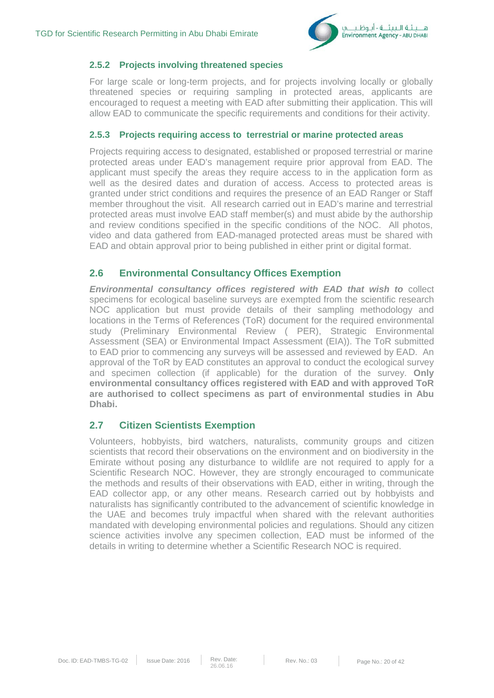

### **2.5.2 Projects involving threatened species**

For large scale or long-term projects, and for projects involving locally or globally threatened species or requiring sampling in protected areas, applicants are encouraged to request a meeting with EAD after submitting their application. This will allow EAD to communicate the specific requirements and conditions for their activity.

### **2.5.3 Projects requiring access to terrestrial or marine protected areas**

Projects requiring access to designated, established or proposed terrestrial or marine protected areas under EAD's management require prior approval from EAD. The applicant must specify the areas they require access to in the application form as well as the desired dates and duration of access. Access to protected areas is granted under strict conditions and requires the presence of an EAD Ranger or Staff member throughout the visit. All research carried out in EAD's marine and terrestrial protected areas must involve EAD staff member(s) and must abide by the authorship and review conditions specified in the specific conditions of the NOC. All photos, video and data gathered from EAD-managed protected areas must be shared with EAD and obtain approval prior to being published in either print or digital format.

### **2.6 Environmental Consultancy Offices Exemption**

*Environmental consultancy offices registered with EAD that wish to* collect specimens for ecological baseline surveys are exempted from the scientific research NOC application but must provide details of their sampling methodology and locations in the Terms of References (ToR) document for the required environmental study (Preliminary Environmental Review ( PER), Strategic Environmental Assessment (SEA) or Environmental Impact Assessment (EIA)). The ToR submitted to EAD prior to commencing any surveys will be assessed and reviewed by EAD. An approval of the ToR by EAD constitutes an approval to conduct the ecological survey and specimen collection (if applicable) for the duration of the survey. **Only environmental consultancy offices registered with EAD and with approved ToR are authorised to collect specimens as part of environmental studies in Abu Dhabi.** 

### **2.7 Citizen Scientists Exemption**

Volunteers, hobbyists, bird watchers, naturalists, community groups and citizen scientists that record their observations on the environment and on biodiversity in the Emirate without posing any disturbance to wildlife are not required to apply for a Scientific Research NOC. However, they are strongly encouraged to communicate the methods and results of their observations with EAD, either in writing, through the EAD collector app, or any other means. Research carried out by hobbyists and naturalists has significantly contributed to the advancement of scientific knowledge in the UAE and becomes truly impactful when shared with the relevant authorities mandated with developing environmental policies and regulations. Should any citizen science activities involve any specimen collection, EAD must be informed of the details in writing to determine whether a Scientific Research NOC is required.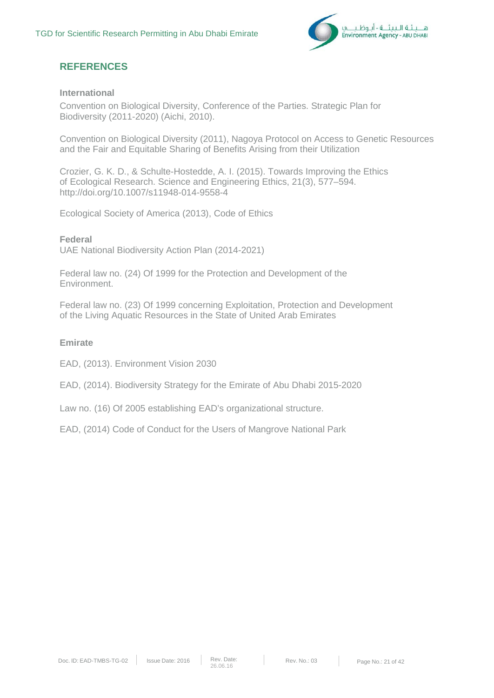

### **REFERENCES**

### **International**

Convention on Biological Diversity, Conference of the Parties. Strategic Plan for Biodiversity (2011-2020) (Aichi, 2010).

Convention on Biological Diversity (2011), Nagoya Protocol on Access to Genetic Resources and the Fair and Equitable Sharing of Benefits Arising from their Utilization

Crozier, G. K. D., & Schulte-Hostedde, A. I. (2015). Towards Improving the Ethics of Ecological Research. Science and Engineering Ethics, 21(3), 577–594. http://doi.org/10.1007/s11948-014-9558-4

Ecological Society of America (2013), Code of Ethics

**Federal** UAE National Biodiversity Action Plan (2014-2021)

Federal law no. (24) Of 1999 for the Protection and Development of the Environment.

Federal law no. (23) Of 1999 concerning Exploitation, Protection and Development of the Living Aquatic Resources in the State of United Arab Emirates

### **Emirate**

EAD, (2013). Environment Vision 2030

EAD, (2014). Biodiversity Strategy for the Emirate of Abu Dhabi 2015-2020

Law no. (16) Of 2005 establishing EAD's organizational structure.

EAD, (2014) Code of Conduct for the Users of Mangrove National Park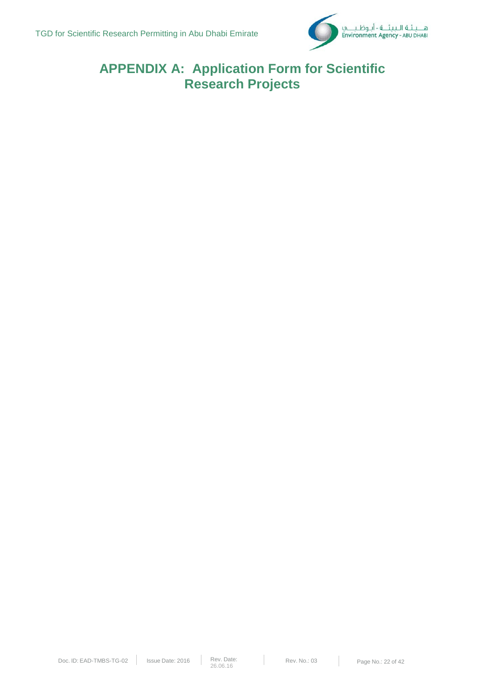

## **APPENDIX A: Application Form for Scientific Research Projects**

T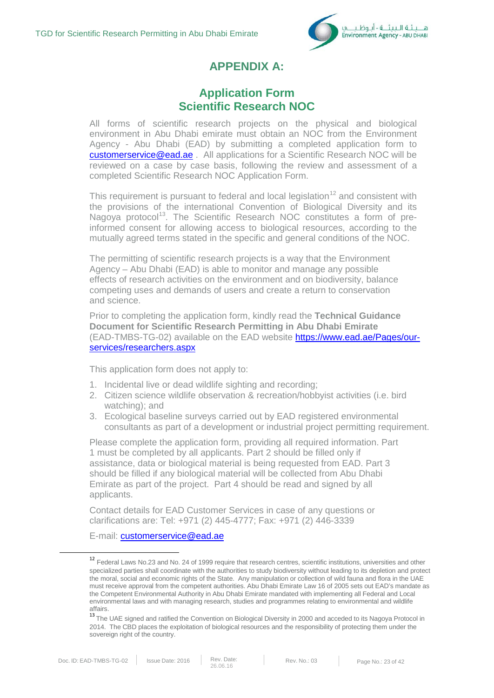

## **APPENDIX A:**

### **Application Form Scientific Research NOC**

All forms of scientific research projects on the physical and biological environment in Abu Dhabi emirate must obtain an NOC from the Environment Agency - Abu Dhabi (EAD) by submitting a completed application form to [customerservice@ead.ae](mailto:customerservice@ead.ae) . All applications for a Scientific Research NOC will be reviewed on a case by case basis, following the review and assessment of a completed Scientific Research NOC Application Form.

This requirement is pursuant to federal and local legislation<sup>[12](#page-22-0)</sup> and consistent with the provisions of the international Convention of Biological Diversity and its Nagoya protocol<sup>13</sup>. The Scientific Research NOC constitutes a form of preinformed consent for allowing access to biological resources, according to the mutually agreed terms stated in the specific and general conditions of the NOC.

The permitting of scientific research projects is a way that the Environment Agency – Abu Dhabi (EAD) is able to monitor and manage any possible effects of research activities on the environment and on biodiversity, balance competing uses and demands of users and create a return to conservation and science.

Prior to completing the application form, kindly read the **Technical Guidance Document for Scientific Research Permitting in Abu Dhabi Emirate** (EAD-TMBS-TG-02) available on the EAD website [https://www.ead.ae/Pages/our](https://www.ead.ae/Pages/our-services/researchers.aspx)[services/researchers.aspx](https://www.ead.ae/Pages/our-services/researchers.aspx)

This application form does not apply to:

- 1. Incidental live or dead wildlife sighting and recording;
- 2. Citizen science wildlife observation & recreation/hobbyist activities (i.e. bird watching); and
- 3. Ecological baseline surveys carried out by EAD registered environmental consultants as part of a development or industrial project permitting requirement.

Please complete the application form, providing all required information. Part 1 must be completed by all applicants. Part 2 should be filled only if assistance, data or biological material is being requested from EAD. Part 3 should be filled if any biological material will be collected from Abu Dhabi Emirate as part of the project. Part 4 should be read and signed by all applicants.

Contact details for EAD Customer Services in case of any questions or clarifications are: Tel: +971 (2) 445-4777; Fax: +971 (2) 446-3339

E-mail: [customerservice@ead.ae](mailto:customerservice@ead.ae)

<span id="page-22-0"></span><sup>&</sup>lt;sup>12</sup> Federal Laws No.23 and No. 24 of 1999 require that research centres, scientific institutions, universities and other specialized parties shall coordinate with the authorities to study biodiversity without leading to its depletion and protect the moral, social and economic rights of the State. Any manipulation or collection of wild fauna and flora in the UAE must receive approval from the competent authorities. Abu Dhabi Emirate Law 16 of 2005 sets out EAD's mandate as the Competent Environmental Authority in Abu Dhabi Emirate mandated with implementing all Federal and Local environmental laws and with managing research, studies and programmes relating to environmental and wildlife affairs.

<span id="page-22-1"></span><sup>&</sup>lt;sup>13</sup> The UAE signed and ratified the Convention on Biological Diversity in 2000 and acceded to its Nagoya Protocol in 2014. The CBD places the exploitation of biological resources and the responsibility of protecting them under the sovereign right of the country.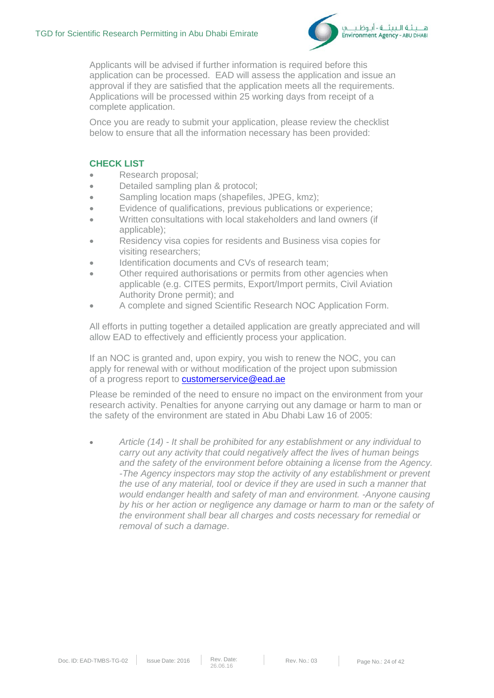

Applicants will be advised if further information is required before this application can be processed. EAD will assess the application and issue an approval if they are satisfied that the application meets all the requirements. Applications will be processed within 25 working days from receipt of a complete application.

Once you are ready to submit your application, please review the checklist below to ensure that all the information necessary has been provided:

### **CHECK LIST**

- Research proposal;
- Detailed sampling plan & protocol;
- Sampling location maps (shapefiles, JPEG, kmz);
- Evidence of qualifications, previous publications or experience;
- Written consultations with local stakeholders and land owners (if applicable);
- Residency visa copies for residents and Business visa copies for visiting researchers;
- Identification documents and CVs of research team:
- Other required authorisations or permits from other agencies when applicable (e.g. CITES permits, Export/Import permits, Civil Aviation Authority Drone permit); and
- A complete and signed Scientific Research NOC Application Form.

All efforts in putting together a detailed application are greatly appreciated and will allow EAD to effectively and efficiently process your application.

If an NOC is granted and, upon expiry, you wish to renew the NOC, you can apply for renewal with or without modification of the project upon submission of a progress report to **customerservice@ead.ae** 

Please be reminded of the need to ensure no impact on the environment from your research activity. Penalties for anyone carrying out any damage or harm to man or the safety of the environment are stated in Abu Dhabi Law 16 of 2005:

• *Article (14) - It shall be prohibited for any establishment or any individual to carry out any activity that could negatively affect the lives of human beings and the safety of the environment before obtaining a license from the Agency. -The Agency inspectors may stop the activity of any establishment or prevent the use of any material, tool or device if they are used in such a manner that would endanger health and safety of man and environment. -Anyone causing by his or her action or negligence any damage or harm to man or the safety of the environment shall bear all charges and costs necessary for remedial or removal of such a damage*.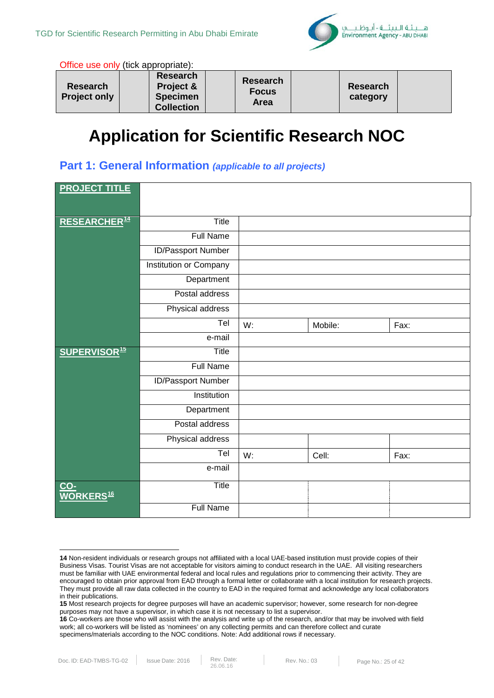

Office use only (tick appropriate):

| <b>Research</b><br><b>Project only</b> | <b>Research</b><br>Project &<br><b>Specimen</b><br><b>Collection</b> | Research<br><b>Focus</b><br>Area |  | <b>Research</b><br>category |  |
|----------------------------------------|----------------------------------------------------------------------|----------------------------------|--|-----------------------------|--|
|----------------------------------------|----------------------------------------------------------------------|----------------------------------|--|-----------------------------|--|

# **Application for Scientific Research NOC**

### **Part 1: General Information** *(applicable to all projects)*

| <b>PROJECT TITLE</b>           |                        |    |         |      |
|--------------------------------|------------------------|----|---------|------|
| RESEARCHER <sup>14</sup>       | <b>Title</b>           |    |         |      |
|                                | <b>Full Name</b>       |    |         |      |
|                                | ID/Passport Number     |    |         |      |
|                                | Institution or Company |    |         |      |
|                                | Department             |    |         |      |
|                                | Postal address         |    |         |      |
|                                | Physical address       |    |         |      |
|                                | Tel                    | W: | Mobile: | Fax: |
|                                | e-mail                 |    |         |      |
| <b>SUPERVISOR<sup>15</sup></b> | Title                  |    |         |      |
|                                | <b>Full Name</b>       |    |         |      |
|                                | ID/Passport Number     |    |         |      |
|                                | Institution            |    |         |      |
|                                | Department             |    |         |      |
|                                | Postal address         |    |         |      |
|                                | Physical address       |    |         |      |
|                                | Tel                    | W: | Cell:   | Fax: |
|                                | e-mail                 |    |         |      |
| CO-<br>WORKERS <sup>16</sup>   | Title                  |    |         |      |
|                                | <b>Full Name</b>       |    |         |      |

1

<span id="page-24-0"></span>**<sup>14</sup>** Non-resident individuals or research groups not affiliated with a local UAE-based institution must provide copies of their Business Visas. Tourist Visas are not acceptable for visitors aiming to conduct research in the UAE. All visiting researchers must be familiar with UAE environmental federal and local rules and regulations prior to commencing their activity. They are encouraged to obtain prior approval from EAD through a formal letter or collaborate with a local institution for research projects. They must provide all raw data collected in the country to EAD in the required format and acknowledge any local collaborators in their publications.

<span id="page-24-1"></span>**<sup>15</sup>** Most research projects for degree purposes will have an academic supervisor; however, some research for non-degree purposes may not have a supervisor, in which case it is not necessary to list a supervisor.

<span id="page-24-2"></span>**<sup>16</sup>** Co-workers are those who will assist with the analysis and write up of the research, and/or that may be involved with field work; all co-workers will be listed as 'nominees' on any collecting permits and can therefore collect and curate specimens/materials according to the NOC conditions. Note: Add additional rows if necessary.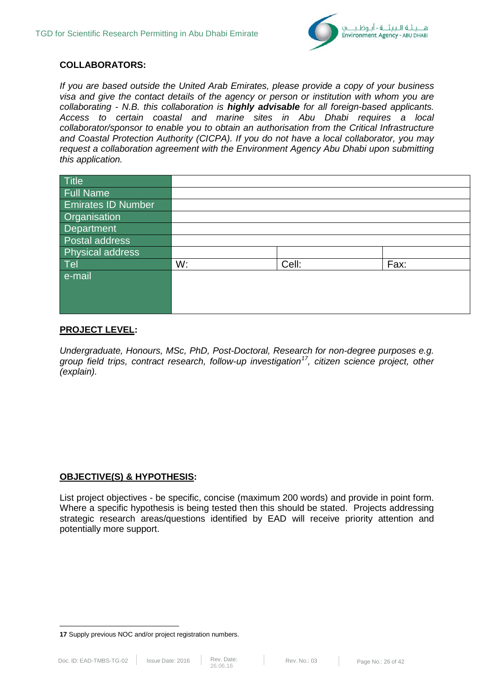

### **COLLABORATORS:**

*If you are based outside the United Arab Emirates, please provide a copy of your business visa and give the contact details of the agency or person or institution with whom you are collaborating - N.B. this collaboration is highly advisable for all foreign-based applicants. Access to certain coastal and marine sites in Abu Dhabi requires a local collaborator/sponsor to enable you to obtain an authorisation from the Critical Infrastructure and Coastal Protection Authority (CICPA). If you do not have a local collaborator, you may request a collaboration agreement with the Environment Agency Abu Dhabi upon submitting this application.* 

| Title              |    |       |      |
|--------------------|----|-------|------|
| <b>Full Name</b>   |    |       |      |
| Emirates ID Number |    |       |      |
| Organisation       |    |       |      |
| Department         |    |       |      |
| Postal address     |    |       |      |
| Physical address   |    |       |      |
| Tel                | W: | Cell: | Fax: |
| e-mail             |    |       |      |
|                    |    |       |      |
|                    |    |       |      |
|                    |    |       |      |

### **PROJECT LEVEL:**

*Undergraduate, Honours, MSc, PhD, Post-Doctoral, Research for non-degree purposes e.g. group field trips, contract research, follow-up investigation[17](#page-25-0), citizen science project, other (explain).*

### **OBJECTIVE(S) & HYPOTHESIS:**

List project objectives - be specific, concise (maximum 200 words) and provide in point form. Where a specific hypothesis is being tested then this should be stated. Projects addressing strategic research areas/questions identified by EAD will receive priority attention and potentially more support.

<span id="page-25-0"></span>**<sup>.</sup> 17** Supply previous NOC and/or project registration numbers.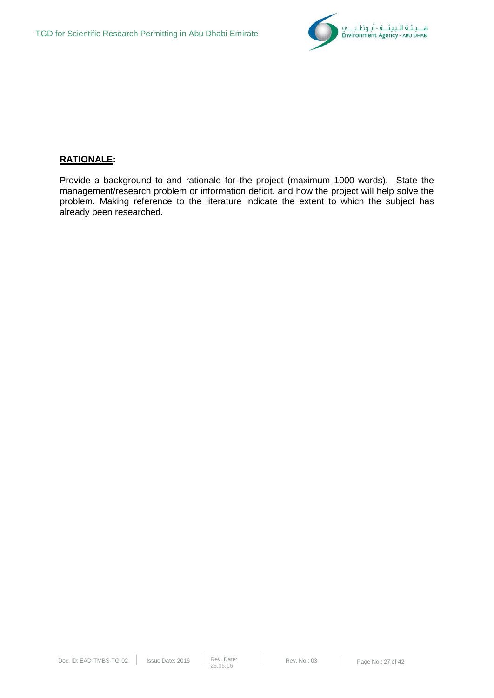

### **RATIONALE:**

Provide a background to and rationale for the project (maximum 1000 words). State the management/research problem or information deficit, and how the project will help solve the problem. Making reference to the literature indicate the extent to which the subject has already been researched.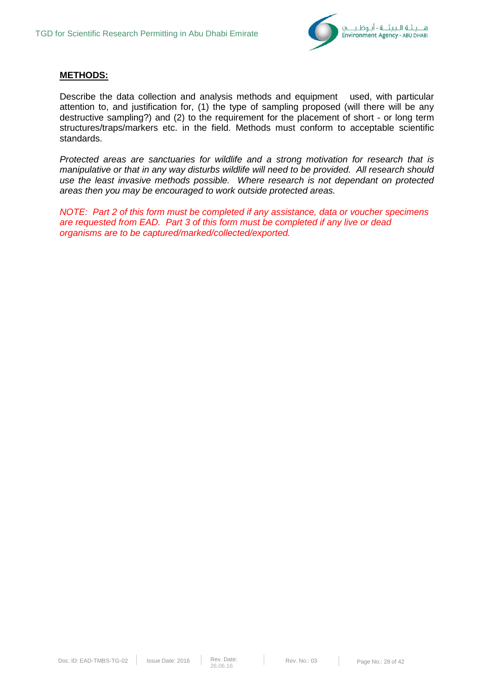

### **METHODS:**

Describe the data collection and analysis methods and equipment used, with particular attention to, and justification for, (1) the type of sampling proposed (will there will be any destructive sampling?) and (2) to the requirement for the placement of short - or long term structures/traps/markers etc. in the field. Methods must conform to acceptable scientific standards.

*Protected areas are sanctuaries for wildlife and a strong motivation for research that is manipulative or that in any way disturbs wildlife will need to be provided. All research should use the least invasive methods possible. Where research is not dependant on protected areas then you may be encouraged to work outside protected areas.*

*NOTE: Part 2 of this form must be completed if any assistance, data or voucher specimens are requested from EAD. Part 3 of this form must be completed if any live or dead organisms are to be captured/marked/collected/exported.*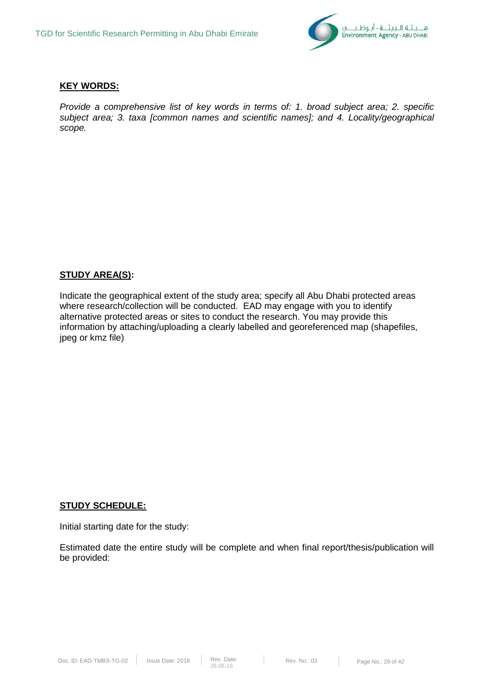

### **KEY WORDS:**

*Provide a comprehensive list of key words in terms of: 1. broad subject area; 2. specific subject area; 3. taxa [common names and scientific names]; and 4. Locality/geographical scope.*

### **STUDY AREA(S):**

Indicate the geographical extent of the study area; specify all Abu Dhabi protected areas where research/collection will be conducted. EAD may engage with you to identify alternative protected areas or sites to conduct the research. You may provide this information by attaching/uploading a clearly labelled and georeferenced map (shapefiles, jpeg or kmz file)

#### **STUDY SCHEDULE:**

Initial starting date for the study:

Estimated date the entire study will be complete and when final report/thesis/publication will be provided: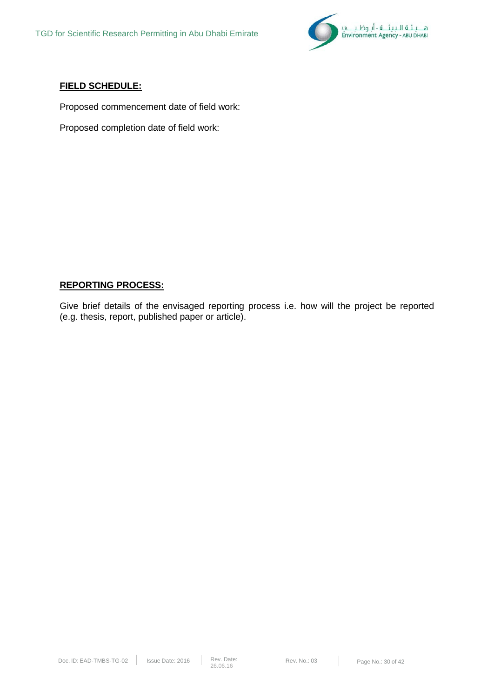

### **FIELD SCHEDULE:**

Proposed commencement date of field work:

Proposed completion date of field work:

### **REPORTING PROCESS:**

Give brief details of the envisaged reporting process i.e. how will the project be reported (e.g. thesis, report, published paper or article).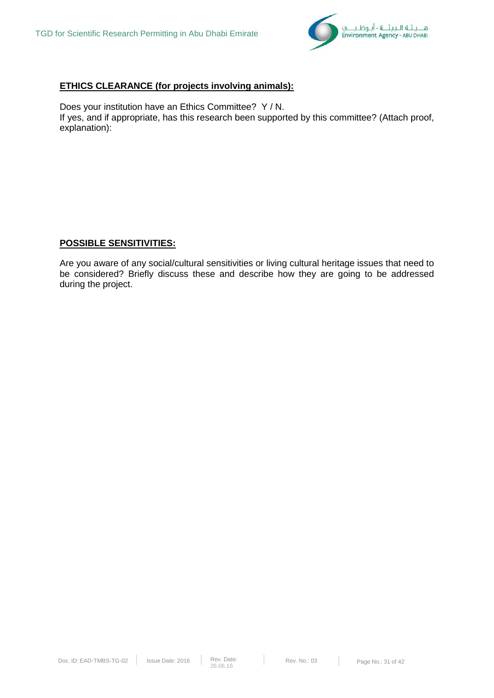

### **ETHICS CLEARANCE (for projects involving animals):**

Does your institution have an Ethics Committee? Y / N. If yes, and if appropriate, has this research been supported by this committee? (Attach proof, explanation):

### **POSSIBLE SENSITIVITIES:**

Are you aware of any social/cultural sensitivities or living cultural heritage issues that need to be considered? Briefly discuss these and describe how they are going to be addressed during the project.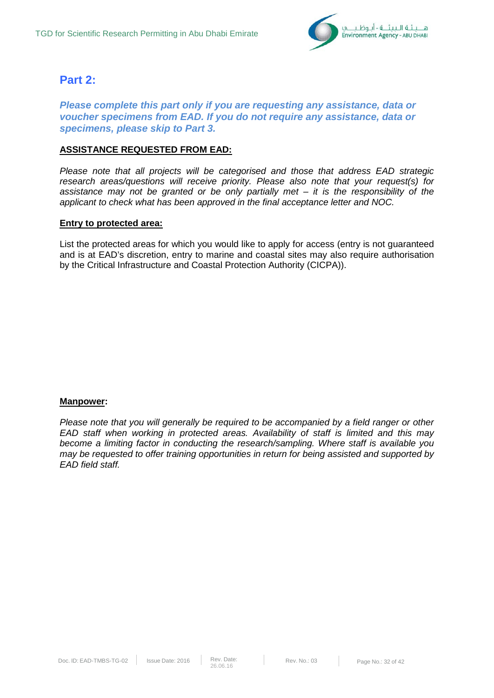

### **Part 2:**

*Please complete this part only if you are requesting any assistance, data or voucher specimens from EAD. If you do not require any assistance, data or specimens, please skip to Part 3.* 

### **ASSISTANCE REQUESTED FROM EAD:**

*Please note that all projects will be categorised and those that address EAD strategic research areas/questions will receive priority. Please also note that your request(s) for assistance may not be granted or be only partially met – it is the responsibility of the applicant to check what has been approved in the final acceptance letter and NOC.* 

### **Entry to protected area:**

List the protected areas for which you would like to apply for access (entry is not guaranteed and is at EAD's discretion, entry to marine and coastal sites may also require authorisation by the Critical Infrastructure and Coastal Protection Authority (CICPA)).

#### **Manpower:**

*Please note that you will generally be required to be accompanied by a field ranger or other EAD staff when working in protected areas. Availability of staff is limited and this may become a limiting factor in conducting the research/sampling. Where staff is available you may be requested to offer training opportunities in return for being assisted and supported by EAD field staff.*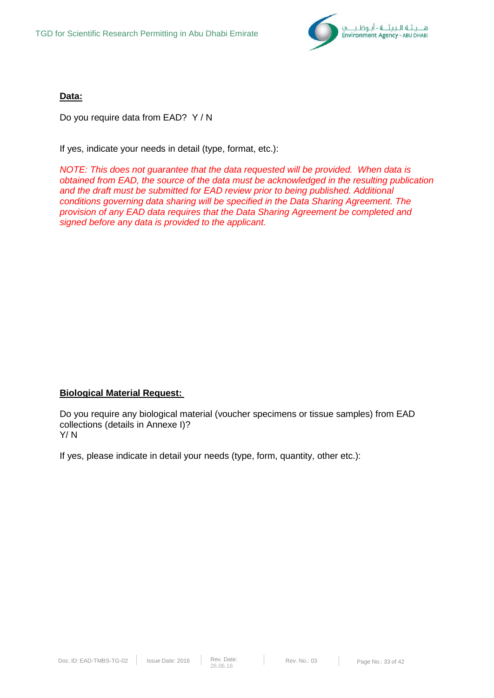

**Data:**

Do you require data from EAD? Y / N

If yes, indicate your needs in detail (type, format, etc.):

*NOTE: This does not guarantee that the data requested will be provided. When data is obtained from EAD, the source of the data must be acknowledged in the resulting publication and the draft must be submitted for EAD review prior to being published. Additional conditions governing data sharing will be specified in the Data Sharing Agreement. The provision of any EAD data requires that the Data Sharing Agreement be completed and signed before any data is provided to the applicant.* 

### **Biological Material Request:**

Do you require any biological material (voucher specimens or tissue samples) from EAD collections (details in Annexe I)? Y/ N

If yes, please indicate in detail your needs (type, form, quantity, other etc.):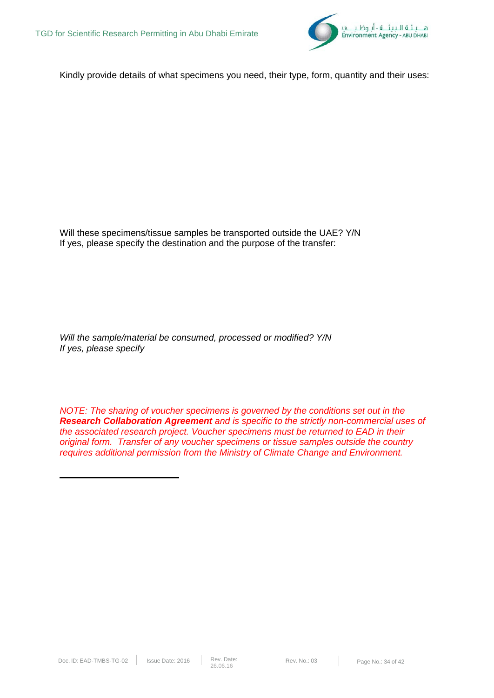

Kindly provide details of what specimens you need, their type, form, quantity and their uses:

Will these specimens/tissue samples be transported outside the UAE? Y/N If yes, please specify the destination and the purpose of the transfer:

*Will the sample/material be consumed, processed or modified? Y/N If yes, please specify* 

*NOTE: The sharing of voucher specimens is governed by the conditions set out in the Research Collaboration Agreement and is specific to the strictly non-commercial uses of the associated research project. Voucher specimens must be returned to EAD in their original form. Transfer of any voucher specimens or tissue samples outside the country requires additional permission from the Ministry of Climate Change and Environment.*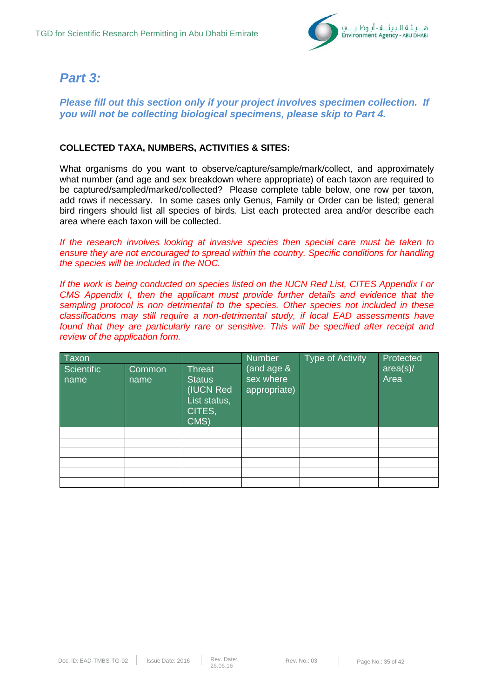

## *Part 3:*

*Please fill out this section only if your project involves specimen collection. If you will not be collecting biological specimens, please skip to Part 4.*

### **COLLECTED TAXA, NUMBERS, ACTIVITIES & SITES:**

What organisms do you want to observe/capture/sample/mark/collect, and approximately what number (and age and sex breakdown where appropriate) of each taxon are required to be captured/sampled/marked/collected? Please complete table below, one row per taxon, add rows if necessary. In some cases only Genus, Family or Order can be listed; general bird ringers should list all species of birds. List each protected area and/or describe each area where each taxon will be collected.

*If the research involves looking at invasive species then special care must be taken to ensure they are not encouraged to spread within the country. Specific conditions for handling the species will be included in the NOC.* 

*If the work is being conducted on species listed on the IUCN Red List, CITES Appendix I or CMS Appendix I, then the applicant must provide further details and evidence that the sampling protocol is non detrimental to the species. Other species not included in these classifications may still require a non-detrimental study, if local EAD assessments have found that they are particularly rare or sensitive. This will be specified after receipt and review of the application form.* 

| Taxon              |                |                                                                               | <b>Number</b>                           | <b>Type of Activity</b> | Protected        |
|--------------------|----------------|-------------------------------------------------------------------------------|-----------------------------------------|-------------------------|------------------|
| Scientific<br>name | Common<br>name | <b>Threat</b><br><b>Status</b><br>(IUCN Red<br>List status,<br>CITES,<br>CMS) | (and age &<br>sex where<br>appropriate) |                         | area(s)/<br>Area |
|                    |                |                                                                               |                                         |                         |                  |
|                    |                |                                                                               |                                         |                         |                  |
|                    |                |                                                                               |                                         |                         |                  |
|                    |                |                                                                               |                                         |                         |                  |
|                    |                |                                                                               |                                         |                         |                  |
|                    |                |                                                                               |                                         |                         |                  |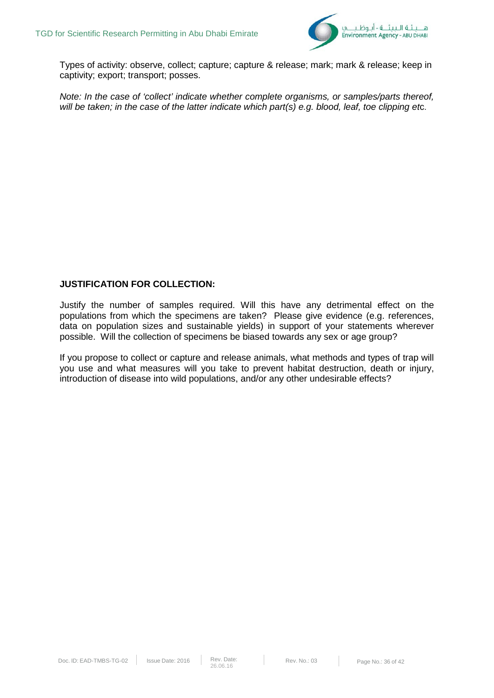

Types of activity: observe, collect; capture; capture & release; mark; mark & release; keep in captivity; export; transport; posses.

*Note: In the case of 'collect' indicate whether complete organisms, or samples/parts thereof, will be taken; in the case of the latter indicate which part(s) e.g. blood, leaf, toe clipping et*c.

### **JUSTIFICATION FOR COLLECTION:**

Justify the number of samples required. Will this have any detrimental effect on the populations from which the specimens are taken? Please give evidence (e.g. references, data on population sizes and sustainable yields) in support of your statements wherever possible. Will the collection of specimens be biased towards any sex or age group?

If you propose to collect or capture and release animals, what methods and types of trap will you use and what measures will you take to prevent habitat destruction, death or injury, introduction of disease into wild populations, and/or any other undesirable effects?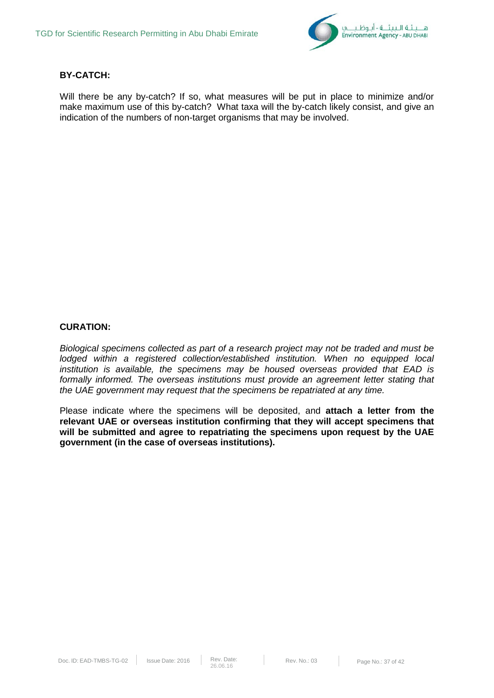

### **BY-CATCH:**

Will there be any by-catch? If so, what measures will be put in place to minimize and/or make maximum use of this by-catch? What taxa will the by-catch likely consist, and give an indication of the numbers of non-target organisms that may be involved.

### **CURATION:**

*Biological specimens collected as part of a research project may not be traded and must be lodged within a registered collection/established institution. When no equipped local institution is available, the specimens may be housed overseas provided that EAD is formally informed. The overseas institutions must provide an agreement letter stating that the UAE government may request that the specimens be repatriated at any time.* 

Please indicate where the specimens will be deposited, and **attach a letter from the relevant UAE or overseas institution confirming that they will accept specimens that will be submitted and agree to repatriating the specimens upon request by the UAE government (in the case of overseas institutions).**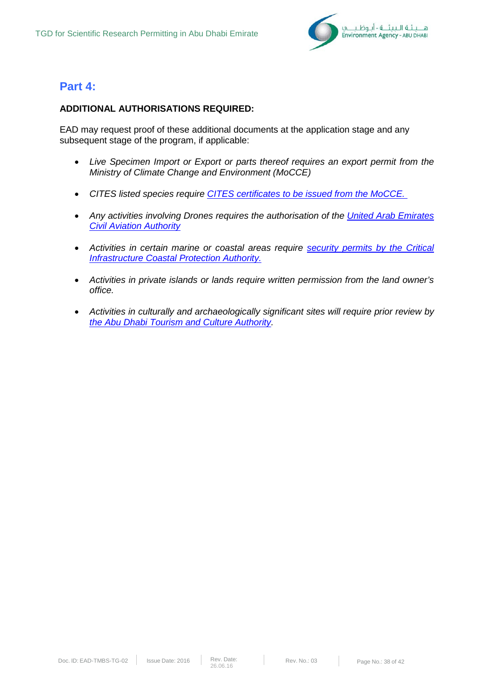

### **Part 4:**

### **ADDITIONAL AUTHORISATIONS REQUIRED:**

EAD may request proof of these additional documents at the application stage and any subsequent stage of the program, if applicable:

- *Live Specimen Import or Export or parts thereof requires an export permit from the Ministry of Climate Change and Environment (MoCCE)*
- *CITES listed species require [CITES certificates to be issued from the MoCCE.](http://www.moew.gov.ae/en/our-services/service-directory.aspx)*
- Any activities involving Drones requires the authorisation of the United Arab Emirates *[Civil Aviation Authority](https://www.gcaa.gov.ae/en/pages/ViewServiceCard.aspx?_ID=344)*
- Activities in certain marine or coastal areas require **security permits by the Critical** *[Infrastructure Coastal Protection Authority.](http://www.cicpa.ae/en/cniaservices/SecurityPermits.aspx)*
- *Activities in private islands or lands require written permission from the land owner's office.*
- *Activities in culturally and archaeologically significant sites will require prior review by [the Abu Dhabi Tourism and Culture Authority.](http://tcaabudhabi.ae/en)*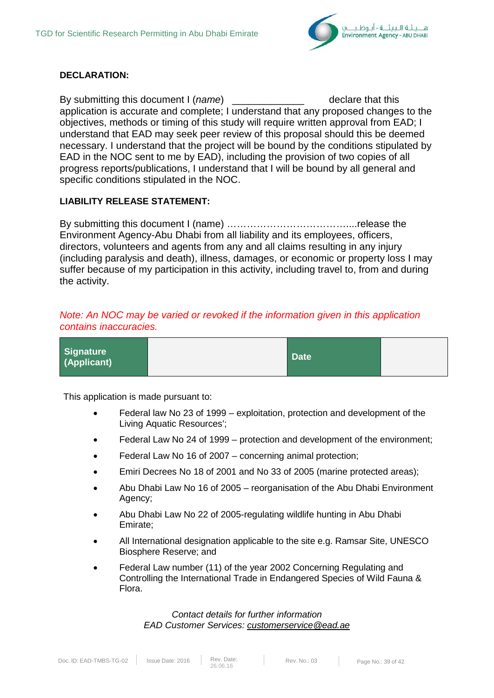

### **DECLARATION:**

By submitting this document I (*name*) example the declare that this application is accurate and complete; I understand that any proposed changes to the objectives, methods or timing of this study will require written approval from EAD; I understand that EAD may seek peer review of this proposal should this be deemed necessary. I understand that the project will be bound by the conditions stipulated by EAD in the NOC sent to me by EAD), including the provision of two copies of all progress reports/publications, I understand that I will be bound by all general and specific conditions stipulated in the NOC.

### **LIABILITY RELEASE STATEMENT:**

By submitting this document I (name) ………………………………....release the Environment Agency-Abu Dhabi from all liability and its employees, officers, directors, volunteers and agents from any and all claims resulting in any injury (including paralysis and death), illness, damages, or economic or property loss I may suffer because of my participation in this activity, including travel to, from and during the activity.

### *Note: An NOC may be varied or revoked if the information given in this application contains inaccuracies.*

| Signature<br>(Applicant) | <b>Date</b> |  |
|--------------------------|-------------|--|
|--------------------------|-------------|--|

This application is made pursuant to:

- Federal law No 23 of 1999 exploitation, protection and development of the Living Aquatic Resources';
- Federal Law No 24 of 1999 protection and development of the environment;
- Federal Law No 16 of 2007 concerning animal protection;
- Emiri Decrees No 18 of 2001 and No 33 of 2005 (marine protected areas);
- Abu Dhabi Law No 16 of 2005 reorganisation of the Abu Dhabi Environment Agency;
- Abu Dhabi Law No 22 of 2005-regulating wildlife hunting in Abu Dhabi Emirate;
- All International designation applicable to the site e.g. Ramsar Site, UNESCO Biosphere Reserve; and
- Federal Law number (11) of the year 2002 Concerning Regulating and Controlling the International Trade in Endangered Species of Wild Fauna & Flora.

*Contact details for further information EAD Customer Services: [customerservice@ead.ae](mailto:customerservice@ead.ae)*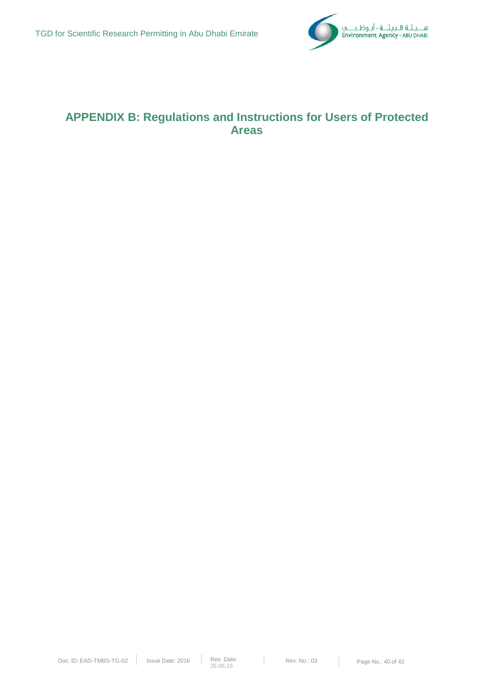

## **APPENDIX B: Regulations and Instructions for Users of Protected Areas**

 $\mathbb{R}^n$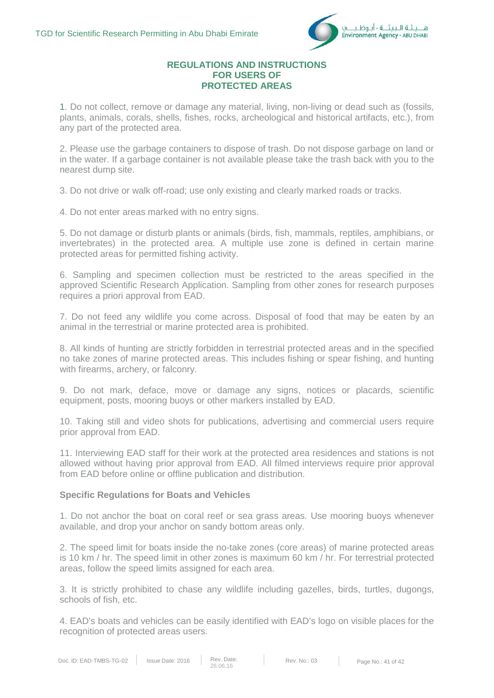

### **REGULATIONS AND INSTRUCTIONS FOR USERS OF PROTECTED AREAS**

1. Do not collect, remove or damage any material, living, non-living or dead such as (fossils, plants, animals, corals, shells, fishes, rocks, archeological and historical artifacts, etc.), from any part of the protected area.

2. Please use the garbage containers to dispose of trash. Do not dispose garbage on land or in the water. If a garbage container is not available please take the trash back with you to the nearest dump site.

3. Do not drive or walk off-road; use only existing and clearly marked roads or tracks.

4. Do not enter areas marked with no entry signs.

5. Do not damage or disturb plants or animals (birds, fish, mammals, reptiles, amphibians, or invertebrates) in the protected area. A multiple use zone is defined in certain marine protected areas for permitted fishing activity.

6. Sampling and specimen collection must be restricted to the areas specified in the approved Scientific Research Application. Sampling from other zones for research purposes requires a priori approval from EAD.

7. Do not feed any wildlife you come across. Disposal of food that may be eaten by an animal in the terrestrial or marine protected area is prohibited.

8. All kinds of hunting are strictly forbidden in terrestrial protected areas and in the specified no take zones of marine protected areas. This includes fishing or spear fishing, and hunting with firearms, archery, or falconry.

9. Do not mark, deface, move or damage any signs, notices or placards, scientific equipment, posts, mooring buoys or other markers installed by EAD.

10. Taking still and video shots for publications, advertising and commercial users require prior approval from EAD.

11. Interviewing EAD staff for their work at the protected area residences and stations is not allowed without having prior approval from EAD. All filmed interviews require prior approval from EAD before online or offline publication and distribution.

### **Specific Regulations for Boats and Vehicles**

1. Do not anchor the boat on coral reef or sea grass areas. Use mooring buoys whenever available, and drop your anchor on sandy bottom areas only.

2. The speed limit for boats inside the no-take zones (core areas) of marine protected areas is 10 km / hr. The speed limit in other zones is maximum 60 km / hr. For terrestrial protected areas, follow the speed limits assigned for each area.

3. It is strictly prohibited to chase any wildlife including gazelles, birds, turtles, dugongs, schools of fish, etc.

4. EAD's boats and vehicles can be easily identified with EAD's logo on visible places for the recognition of protected areas users.